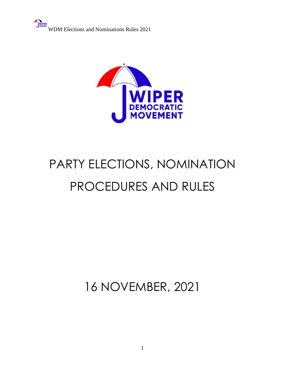

# PARTY ELECTIONS, NOMINATION PROCEDURES AND RULES

16 NOVEMBER, 2021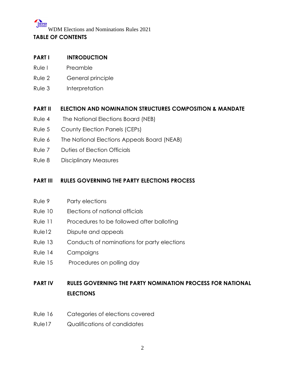# WDM Elections and Nominations Rules 2021 **TABLE OF CONTENTS**

#### **PART I INTRODUCTION**

- Rule I Preamble
- Rule 2 General principle
- Rule 3 Interpretation

#### **PART II ELECTION AND NOMINATION STRUCTURES COMPOSITION & MANDATE**

- Rule 4 The National Elections Board (NEB)
- Rule 5 County Election Panels (CEPs)
- Rule 6 The National Elections Appeals Board (NEAB)
- Rule 7 Duties of Election Officials
- Rule 8 Disciplinary Measures

#### **PART III RULES GOVERNING THE PARTY ELECTIONS PROCESS**

- Rule 9 Party elections
- Rule 10 Elections of national officials
- Rule 11 Procedures to be followed after balloting
- Rule12 Dispute and appeals
- Rule 13 Conducts of nominations for party elections
- Rule 14 Campaigns
- Rule 15 Procedures on polling day

#### **PART IV RULES GOVERNING THE PARTY NOMINATION PROCESS FOR NATIONAL ELECTIONS**

- Rule 16 Categories of elections covered
- Rule17 Qualifications of candidates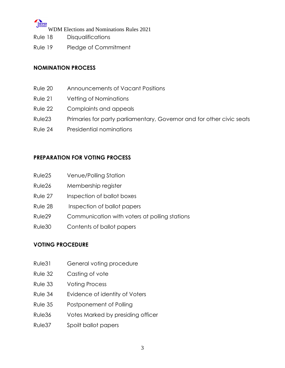- Rule 18 Disqualifications
- Rule 19 Pledge of Commitment

#### **NOMINATION PROCESS**

- Rule 20 Announcements of Vacant Positions
- Rule 21 Vetting of Nominations
- Rule 22 Complaints and appeals
- Rule23 Primaries for party parliamentary, Governor and for other civic seats
- Rule 24 Presidential nominations

#### **PREPARATION FOR VOTING PROCESS**

- Rule25 Venue/Polling Station
- Rule26 Membership register
- Rule 27 Inspection of ballot boxes
- Rule 28 Inspection of ballot papers
- Rule29 Communication with voters at polling stations
- Rule30 Contents of ballot papers

#### **VOTING PROCEDURE**

- Rule31 General voting procedure
- Rule 32 Casting of vote
- Rule 33 Voting Process
- Rule 34 Evidence of identity of Voters
- Rule 35 Postponement of Polling
- Rule36 Votes Marked by presiding officer
- Rule37 Spoilt ballot papers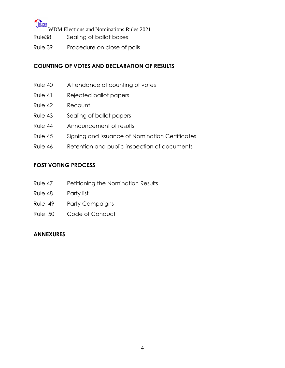### **UNIPER**

WDM Elections and Nominations Rules 2021

- Rule38 Sealing of ballot boxes
- Rule 39 Procedure on close of polls

#### **COUNTING OF VOTES AND DECLARATION OF RESULTS**

- Rule 40 Attendance of counting of votes
- Rule 41 Rejected ballot papers
- Rule 42 Recount
- Rule 43 Sealing of ballot papers
- Rule 44 Announcement of results
- Rule 45 Signing and issuance of Nomination Certificates
- Rule 46 Retention and public inspection of documents

#### **POST VOTING PROCESS**

- Rule 47 Petitioning the Nomination Results
- Rule 48 Party list
- Rule 49 Party Campaigns
- Rule 50 Code of Conduct

#### **ANNEXURES**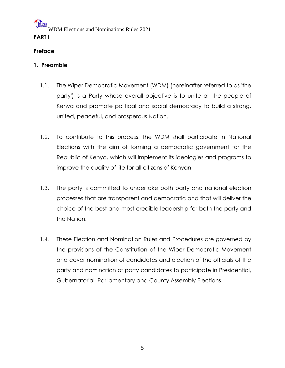# WDM Elections and Nominations Rules 2021 **PART I**

### **Preface**

#### **1. Preamble**

- 1.1. The Wiper Democratic Movement (WDM) (hereinafter referred to as 'the party') is a Party whose overall objective is to unite all the people of Kenya and promote political and social democracy to build a strong, united, peaceful, and prosperous Nation.
- 1.2. To contribute to this process, the WDM shall participate in National Elections with the aim of forming a democratic government for the Republic of Kenya, which will implement its ideologies and programs to improve the quality of life for all citizens of Kenyan.
- 1.3. The party is committed to undertake both party and national election processes that are transparent and democratic and that will deliver the choice of the best and most credible leadership for both the party and the Nation.
- 1.4. These Election and Nomination Rules and Procedures are governed by the provisions of the Constitution of the Wiper Democratic Movement and cover nomination of candidates and election of the officials of the party and nomination of party candidates to participate in Presidential, Gubernatorial, Parliamentary and County Assembly Elections.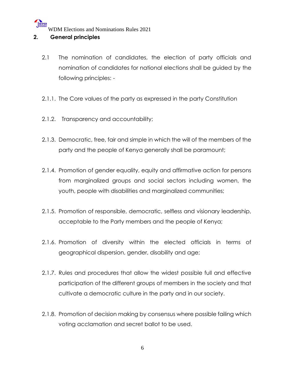#### **2. General principles**

- 2.1 The nomination of candidates, the election of party officials and nomination of candidates for national elections shall be guided by the following principles: -
- 2.1.1. The Core values of the party as expressed in the party Constitution
- 2.1.2. Transparency and accountability;
- 2.1.3. Democratic, free, fair and simple in which the will of the members of the party and the people of Kenya generally shall be paramount;
- 2.1.4. Promotion of gender equality, equity and affirmative action for persons from marginalized groups and social sectors including women, the youth, people with disabilities and marginalized communities;
- 2.1.5. Promotion of responsible, democratic, selfless and visionary leadership, acceptable to the Party members and the people of Kenya;
- 2.1.6. Promotion of diversity within the elected officials in terms of geographical dispersion, gender, disability and age;
- 2.1.7. Rules and procedures that allow the widest possible full and effective participation of the different groups of members in the society and that cultivate a democratic culture in the party and in our society.
- 2.1.8. Promotion of decision making by consensus where possible failing which voting acclamation and secret ballot to be used.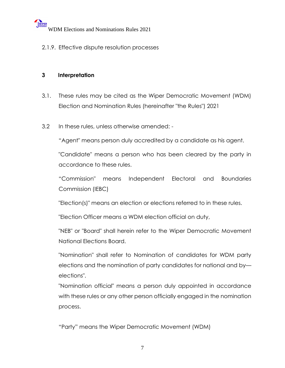2.1.9. Effective dispute resolution processes

#### **3 Interpretation**

- 3.1. These rules may be cited as the Wiper Democratic Movement (WDM) Election and Nomination Rules (hereinafter "the Rules") 2021
- 3.2 In these rules, unless otherwise amended: -

"Agent" means person duly accredited by a candidate as his agent.

"Candidate" means a person who has been cleared by the party in accordance to these rules.

"Commission" means Independent Electoral and Boundaries Commission (IEBC)

"Election(s)" means an election or elections referred to in these rules.

"Election Officer means a WDM election official on duty,

"NEB" or "Board" shall herein refer to the Wiper Democratic Movement National Elections Board.

"Nomination" shall refer to Nomination of candidates for WDM party elections and the nomination of party candidates for national and by elections".

"Nomination official" means a person duly appointed in accordance with these rules or any other person officially engaged in the nomination process.

"Party" means the Wiper Democratic Movement (WDM)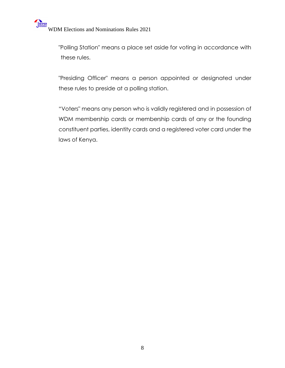"Polling Station" means a place set aside for voting in accordance with these rules.

"Presiding Officer" means a person appointed or designated under these rules to preside at a polling station.

"Voters" means any person who is validly registered and in possession of WDM membership cards or membership cards of any or the founding constituent parties, identity cards and a registered voter card under the laws of Kenya.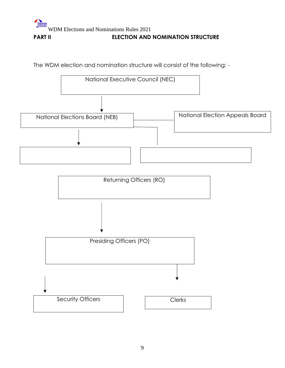# WDM Elections and Nominations Rules 2021 **PART II** ELECTION AND NOMINATION STRUCTURE

The WDM election and nomination structure will consist of the following: -

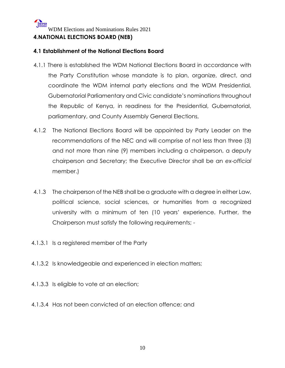#### WIPER WDM Elections and Nominations Rules 2021 **4.NATIONAL ELECTIONS BOARD (NEB)**

#### **4.1 Establishment of the National Elections Board**

- 4.1.1 There is established the WDM National Elections Board in accordance with the Party Constitution whose mandate is to plan, organize, direct, and coordinate the WDM internal party elections and the WDM Presidential, Gubernatorial Parliamentary and Civic candidate's nominations throughout the Republic of Kenya, in readiness for the Presidential, Gubernatorial, parliamentary, and County Assembly General Elections,
- 4.1.2 The National Elections Board will be appointed by Party Leader on the recommendations of the NEC and will comprise of not less than three (3) and not more than nine (9) members including a chairperson, a deputy chairperson and Secretary; the Executive Director shall be an *ex-official* member.)
- 4.1.3 The chairperson of the NEB shall be a graduate with a degree in either Law, political science, social sciences, or humanities from a recognized university with a minimum of ten (10 years' experience. Further, the Chairperson must satisfy the following requirements; -
- 4.1.3.1 Is a registered member of the Party
- 4.1.3.2 Is knowledgeable and experienced in election matters;
- 4.1.3.3 Is eligible to vote at an election;
- 4.1.3.4 Has not been convicted of an election offence; and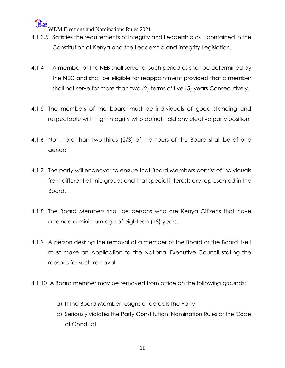- 4.1.3.5 Satisfies the requirements of Integrity and Leadership as contained in the Constitution of Kenya and the Leadership and integrity Legislation.
- 4.1.4 A member of the NEB shall serve for such period as shall be determined by the NEC and shall be eligible for reappointment provided that a member shall not serve for more than two (2) terms of five (5) years Consecutively.
- 4.1.5 The members of the board must be individuals of good standing and respectable with high integrity who do not hold any elective party position.
- 4.1.6 Not more than two-thirds (2/3) of members of the Board shall be of one gender
- 4.1.7 The party will endeavor to ensure that Board Members consist of individuals from different ethnic groups and that special interests are represented in the Board.
- 4.1.8 The Board Members shall be persons who are Kenya Citizens that have attained a minimum age of eighteen (18) years.
- 4.1.9 A person desiring the removal of a member of the Board or the Board itself must make an Application to the National Executive Council stating the reasons for such removal.
- 4.1.10 A Board member may be removed from office on the following grounds;
	- a) It the Board Member resigns or defects the Party
	- b) Seriously violates the Party Constitution, Nomination Rules or the Code of Conduct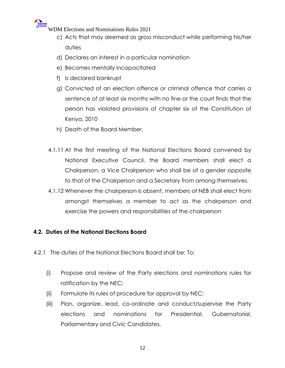- c) Acts that may deemed as gross misconduct while performing his/her duties
- d) Declares an interest in a particular nomination
- e) Becomes mentally incapacitated
- f) Is declared bankrupt
- g) Convicted of an election offence or criminal offence that carries a sentence of at least six months with no fine or the court finds that the person has violated provisions of chapter six of the Constitution of Kenya, 2010
- h) Death of the Board Member.
- 4.1.11 At the first meeting of the National Elections Board convened by National Executive Council, the Board members shall elect a Chairperson, a Vice Chairperson who shall be of a gender opposite to that of the Chairperson and a Secretary from among themselves.
- 4.1.12 Whenever the chairperson is absent, members of NEB shall elect from amongst themselves a member to act as the chairperson and exercise the powers and responsibilities of the chairperson

#### **4.2. Duties of the National Elections Board**

- 4.2.1 The duties of the National Elections Board shall be; To:
	- (i) Propose and review of the Party elections and nominations rules for ratification by the NEC;
	- (ii) Formulate its rules of procedure for approval by NEC;
	- (iii) Plan, organize, lead, co-ordinate and conduct/supervise the Party elections and nominations for Presidential, Gubernatorial, Parliamentary and Civic Candidates.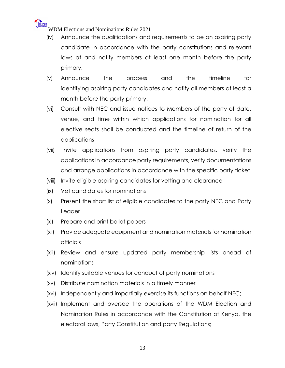

- (iv) Announce the qualifications and requirements to be an aspiring party candidate in accordance with the party constitutions and relevant laws at and notify members at least one month before the party primary.
- (v) Announce the process and the timeline for identifying aspiring party candidates and notify all members at least a month before the party primary.
- (vi) Consult with NEC and issue notices to Members of the party of date, venue, and time within which applications for nomination for all elective seats shall be conducted and the timeline of return of the applications
- (vii) Invite applications from aspiring party candidates, verify the applications in accordance party requirements, verify documentations and arrange applications in accordance with the specific party ticket
- (viii) Invite eligible aspiring candidates for vetting and clearance
- (ix) Vet candidates for nominations
- (x) Present the short list of eligible candidates to the party NEC and Party Leader
- (xi) Prepare and print ballot papers
- (xii) Provide adequate equipment and nomination materials for nomination officials
- (xiii) Review and ensure updated party membership lists ahead of nominations
- (xiv) Identify suitable venues for conduct of party nominations
- (xv) Distribute nomination materials in a timely manner
- (xvi) Independently and impartially exercise its functions on behalf NEC;
- (xvii) Implement and oversee the operations of the WDM Election and Nomination Rules in accordance with the Constitution of Kenya, the electoral laws, Party Constitution and party Regulations;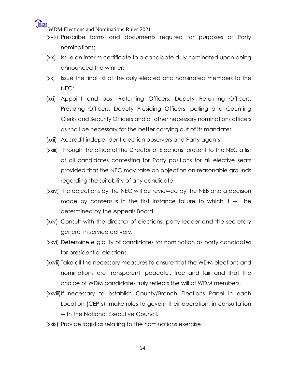

- (xviii) Prescribe forms and documents required for purposes of Party nominations;
- (xix) Issue an interim certificate to a candidate duly nominated upon being announced the winner;
- (xx) Issue the final list of the duly elected and nominated members to the NEC;
- (xxi) Appoint and post Returning Officers, Deputy Returning Officers, Presiding Officers, Deputy Presiding Officers, polling and Counting Clerks and Security Officers and all other necessary nominations officers as shall be necessary for the better carrying out of its mandate;
- (xxii) Accredit independent election observers and Party agents
- (xxiii) Through the office of the Director of Elections, present to the NEC a list of all candidates contesting for Party positions for all elective seats provided that the NEC may raise an objection on reasonable grounds regarding the suitability of any candidate.
- (xxiv) The objections by the NEC will be reviewed by the NEB and a decision made by consensus in the first instance failure to which it will be determined by the Appeals Board.
- (xxv) Consult with the director of elections, party leader and the secretary general in service delivery.
- (xxvi) Determine eligibility of candidates for nomination as party candidates for presidential elections.
- (xxvii) Take all the necessary measures to ensure that the WDM elections and nominations are transparent, peaceful, free and fair and that the choice of WDM candidates truly reflects the will of WDM members.
- (xxviii)If necessary to establish County/Branch Elections Panel in each Location (CEP's), make rules to govern their operation, in consultation with the National Executive Council.
- (xxix) Provide logistics relating to the nominations exercise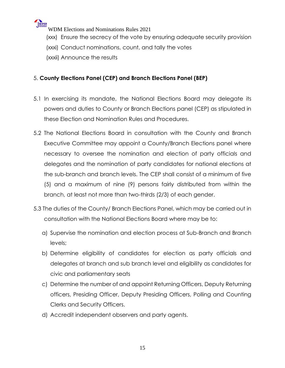

- (xxx) Ensure the secrecy of the vote by ensuring adequate security provision
- (xxxi) Conduct nominations, count, and tally the votes
- (xxxii) Announce the results

#### 5. **County Elections Panel (CEP) and Branch Elections Panel (BEP)**

- 5.1 In exercising its mandate, the National Elections Board may delegate its powers and duties to County or Branch Elections panel (CEP) as stipulated in these Election and Nomination Rules and Procedures.
- 5.2 The National Elections Board in consultation with the County and Branch Executive Committee may appoint a County/Branch Elections panel where necessary to oversee the nomination and election of party officials and delegates and the nomination of party candidates for national elections at the sub-branch and branch levels. The CEP shall consist of a minimum of five (5) and a maximum of nine (9) persons fairly distributed from within the branch, at least not more than two-thirds (2/3) of each gender.
- 5.3 The duties of the County/ Branch Elections Panel, which may be carried out in consultation with the National Elections Board where may be to:
	- a) Supervise the nomination and election process at Sub-Branch and Branch levels;
	- b) Determine eligibility of candidates for election as party officials and delegates at branch and sub branch level and eligibility as candidates for civic and parliamentary seats
	- c) Determine the number of and appoint Returning Officers, Deputy Returning officers, Presiding Officer, Deputy Presiding Officers, Polling and Counting Clerks and Security Officers.
	- d) Accredit independent observers and party agents.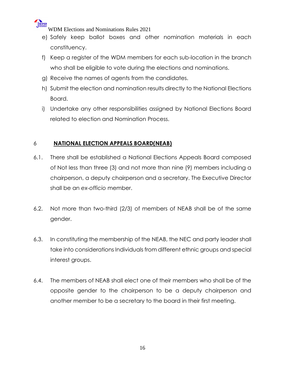

- e) Safely keep ballot boxes and other nomination materials in each constituency.
- f) Keep a register of the WDM members for each sub-location in the branch who shall be eligible to vote during the elections and nominations.
- g) Receive the names of agents from the candidates.
- h) Submit the election and nomination results directly to the National Elections Board.
- i) Undertake any other responsibilities assigned by National Elections Board related to election and Nomination Process.

#### 6 **NATIONAL ELECTION APPEALS BOARD(NEAB)**

- 6.1. There shall be established a National Elections Appeals Board composed of Not less than three (3) and not more than nine (9) members including a chairperson, a deputy chairperson and a secretary. The Executive Director shall be an *ex-officio* member.
- 6.2. Not more than two-third (2/3) of members of NEAB shall be of the same gender.
- 6.3. In constituting the membership of the NEAB, the NEC and party leader shall take into considerations Individuals from different ethnic groups and special interest groups.
- 6.4. The members of NEAB shall elect one of their members who shall be of the opposite gender to the chairperson to be a deputy chairperson and another member to be a secretary to the board in their first meeting.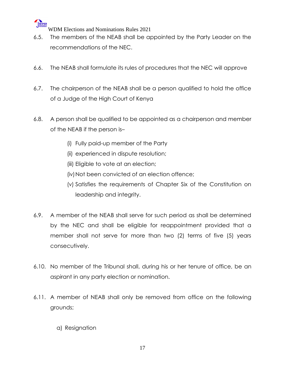

- 6.5. The members of the NEAB shall be appointed by the Party Leader on the recommendations of the NEC.
- 6.6. The NEAB shall formulate its rules of procedures that the NEC will approve
- 6.7. The chairperson of the NEAB shall be a person qualified to hold the office of a Judge of the High Court of Kenya
- 6.8. A person shall be qualified to be appointed as a chairperson and member of the NEAB if the person is–
	- (i) Fully paid-up member of the Party
	- (ii) experienced in dispute resolution;
	- (iii) Eligible to vote at an election;
	- (iv) Not been convicted of an election offence;
	- (v) Satisfies the requirements of Chapter Six of the Constitution on leadership and integrity.
- 6.9. A member of the NEAB shall serve for such period as shall be determined by the NEC and shall be eligible for reappointment provided that a member shall not serve for more than two (2) terms of five (5) years consecutively.
- 6.10. No member of the Tribunal shall, during his or her tenure of office, be an aspirant in any party election or nomination.
- 6.11. A member of NEAB shall only be removed from office on the following grounds;
	- a) Resignation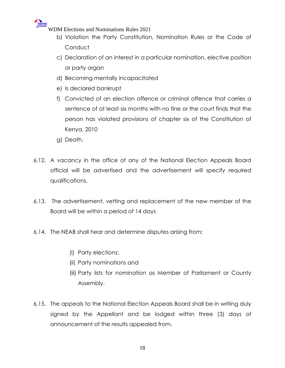

- b) Violation the Party Constitution, Nomination Rules or the Code of **Conduct**
- c) Declaration of an interest in a particular nomination, elective position or party organ
- d) Becoming mentally incapacitated
- e) Is declared bankrupt
- f) Convicted of an election offence or criminal offence that carries a sentence of at least six months with no fine or the court finds that the person has violated provisions of chapter six of the Constitution of Kenya, 2010
- g) Death.
- 6.12. A vacancy in the office of any of the National Election Appeals Board official will be advertised and the advertisement will specify required qualifications.
- 6.13. The advertisement, vetting and replacement of the new member of the Board will be within a period of 14 days
- 6.14. The NEAB shall hear and determine disputes arising from;
	- (i) Party elections;
	- (ii) Party nominations and
	- (iii) Party lists for nomination as Member of Parliament or County Assembly.
- 6.15. The appeals to the National Election Appeals Board shall be in writing duly signed by the Appellant and be lodged within three (3) days of announcement of the results appealed from.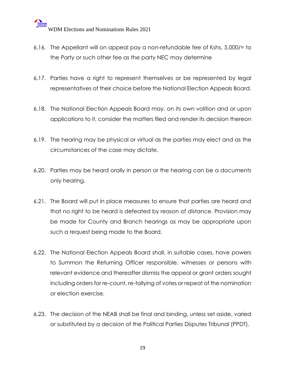- 6.16. The Appellant will on appeal pay a non-refundable fee of Kshs, 5,000/= to the Party or such other fee as the party NEC may determine
- 6.17. Parties have a right to represent themselves or be represented by legal representatives of their choice before the National Election Appeals Board.
- 6.18. The National Election Appeals Board may, on its own volition and or upon applications to it, consider the matters filed and render its decision thereon
- 6.19. The hearing may be physical or virtual as the parties may elect and as the circumstances of the case may dictate.
- 6.20. Parties may be heard orally in person or the hearing can be a documents only hearing.
- 6.21. The Board will put in place measures to ensure that parties are heard and that no right to be heard is defeated by reason of distance. Provision may be made for County and Branch hearings as may be appropriate upon such a request being made to the Board.
- 6.22. The National Election Appeals Board shall, in suitable cases, have powers to Summon the Returning Officer responsible, witnesses or persons with relevant evidence and thereafter dismiss the appeal or grant orders sought including orders for re-count, re-tallying of votes or repeat of the nomination or election exercise.
- 6.23. The decision of the NEAB shall be final and binding, unless set aside, varied or substituted by a decision of the Political Parties Disputes Tribunal (PPDT).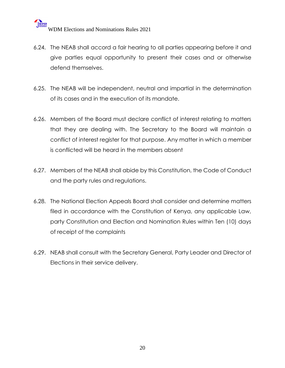- 6.24. The NEAB shall accord a fair hearing to all parties appearing before it and give parties equal opportunity to present their cases and or otherwise defend themselves.
- 6.25. The NEAB will be independent, neutral and impartial in the determination of its cases and in the execution of its mandate.
- 6.26. Members of the Board must declare conflict of interest relating to matters that they are dealing with. The Secretary to the Board will maintain a conflict of interest register for that purpose. Any matter in which a member is conflicted will be heard in the members absent
- 6.27. Members of the NEAB shall abide by this Constitution, the Code of Conduct and the party rules and regulations.
- 6.28. The National Election Appeals Board shall consider and determine matters filed in accordance with the Constitution of Kenya, any applicable Law, party Constitution and Election and Nomination Rules within Ten (10) days of receipt of the complaints
- 6.29. NEAB shall consult with the Secretary General, Party Leader and Director of Elections in their service delivery.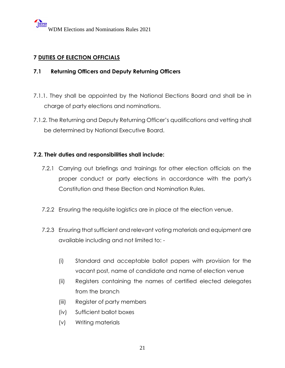#### **7 DUTIES OF ELECTION OFFICIALS**

#### **7.1 Returning Officers and Deputy Returning Officers**

- 7.1.1. They shall be appointed by the National Elections Board and shall be in charge of party elections and nominations.
- 7.1.2. The Returning and Deputy Returning Officer's qualifications and vetting shall be determined by National Executive Board.

#### **7.2. Their duties and responsibilities shall include:**

- 7.2.1 Carrying out briefings and trainings for other election officials on the proper conduct or party elections in accordance with the party's Constitution and these Election and Nomination Rules.
- 7.2.2 Ensuring the requisite logistics are in place at the election venue.
- 7.2.3 Ensuring that sufficient and relevant voting materials and equipment are available including and not limited to: -
	- (i) Standard and acceptable ballot papers with provision for the vacant post, name of candidate and name of election venue
	- (ii) Registers containing the names of certified elected delegates from the branch
	- (iii) Register of party members
	- (iv) Sufficient ballot boxes
	- (v) Writing materials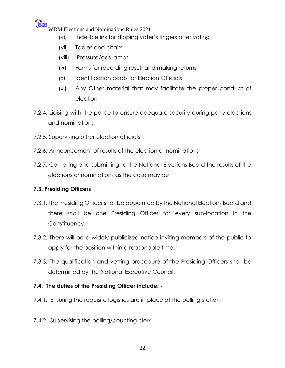

- (vi) Indelible ink for dipping voter's fingers after voting
- (vii) Tables and chairs
- (viii) Pressure/gas lamps
- (ix) Forms for recording result and making returns
- (x) Identification cards for Election Officials
- (xi) Any Other material that may facilitate the proper conduct of election
- 7.2.4. Liaising with the police to ensure adequate security during party elections and nominations
- 7.2.5. Supervising other election officials
- 7.2.6. Announcement of results of the election or nominations
- 7.2.7. Compiling and submitting to the National Elections Board the results of the elections or nominations as the case may be

#### **7.3. Presiding Officers**

- 7.3.1. The Presiding Officer shall be appointed by the National Elections Board and there shall be one Presiding Officer for every sub-location in the Constituency.
- 7.3.2. There will be a widely publicized notice inviting members of the public to apply for the position within a reasonable time.
- 7.3.3. The qualification and vetting procedure of the Presiding Officers shall be determined by the National Executive Council.

#### **7.4. The duties of the Presiding Officer include: -**

- 7.4.1. Ensuring the requisite logistics are in place at the polling station
- 7.4.2. Supervising the polling/counting clerk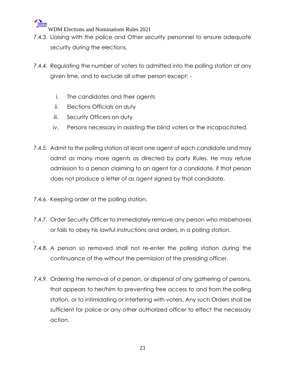

- 7.4.3. Liaising with the police and Other security personnel to ensure adequate security during the elections.
- 7.4.4. Regulating the number of voters to admitted into the polling station at any given lime, and to exclude all other person except:
	- i. The candidates and their agents
	- ii. Elections Officials on duty
	- iii. Security Officers on duty
	- iv. Persons necessary in assisting the blind voters or the incapacitated.
- 7.4.5. Admit to the polling station at least one agent of each candidate and may admit as many more agents as directed by party Rules. He may refuse admission to a person claiming to an agent for a candidate, if that person does not produce a letter of as agent signed by that candidate.
- 7.4.6. Keeping order at the polling station.
- 7.4.7. Order Security Officer to immediately remove any person who misbehaves or fails to obey his lawful instructions and orders, in a polling station.
- 7.4.8. A person so removed shall not re-enter the polling station during the continuance of the without the permission of the presiding officer.
- 7.4.9. Ordering the removal of a person, or dispersal of any gathering of persons, that appears to her/him to preventing free access to and from the polling station, or to intimidating or interfering with voters. Any such Orders shall be sufficient for police or any other authorized officer to effect the necessary action.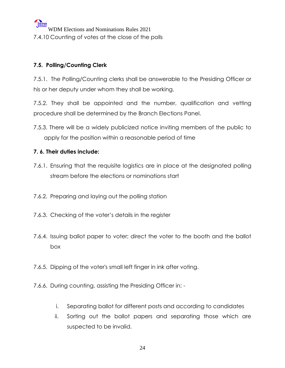WIPER WDM Elections and Nominations Rules 2021 7.4.10 Counting of votes at the close of the polls

#### **7.5. Polling/Counting Clerk**

7.5.1. The Polling/Counting clerks shall be answerable to the Presiding Officer or his or her deputy under whom they shall be working.

7.5.2. They shall be appointed and the number, qualification and vetting procedure shall be determined by the Branch Elections Panel.

7.5.3. There will be a widely publicized notice inviting members of the public to apply for the position within a reasonable period of time

#### **7. 6. Their duties include:**

- 7.6.1. Ensuring that the requisite logistics are in place at the designated polling stream before the elections or nominations start
- 7.6.2. Preparing and laying out the polling station
- 7.6.3. Checking of the voter's details in the register
- 7.6.4. Issuing ballot paper to voter; direct the voter to the booth and the ballot box
- 7.6.5. Dipping of the voter's small left finger in ink after voting.
- 7.6.6. During counting, assisting the Presiding Officer in;
	- i. Separating ballot for different posts and according to candidates
	- ii. Sorting out the ballot papers and separating those which are suspected to be invalid.

24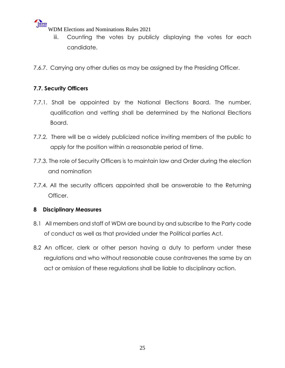- iii. Counting the votes by publicly displaying the votes for each candidate.
- 7.6.7. Carrying any other duties as may be assigned by the Presiding Officer.

#### **7.7. Security Officers**

- 7.7.1. Shall be appointed by the National Elections Board. The number, qualification and vetting shall be determined by the National Elections Board.
- 7.7.2. There will be a widely publicized notice inviting members of the public to apply for the position within a reasonable period of time.
- 7.7.3. The role of Security Officers is to maintain law and Order during the election and nomination
- 7.7.4. All the security officers appointed shall be answerable to the Returning Officer.

#### **8 Disciplinary Measures**

- 8.1 All members and staff of WDM are bound by and subscribe to the Party code of conduct as well as that provided under the Political parties Act.
- 8.2 An officer, clerk or other person having a duty to perform under these regulations and who without reasonable cause contravenes the same by an act or omission of these regulations shall be liable to disciplinary action.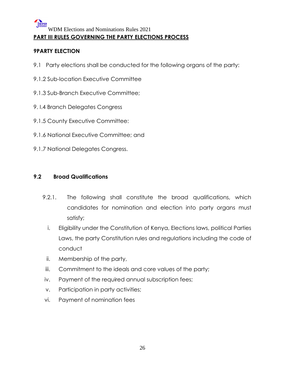#### WIPER WDM Elections and Nominations Rules 2021 **PART III RULES GOVERNING THE PARTY ELECTIONS PROCESS**

#### **9PARTY ELECTION**

- 9.1 Party elections shall be conducted for the following organs of the party:
- 9.1.2 Sub-location Executive Committee
- 9.1.3 Sub-Branch Executive Committee;
- 9. I.4 Branch Delegates Congress
- 9.1.5 County Executive Committee:
- 9.1.6 National Executive Committee; and
- 9.1.7 National Delegates Congress.

#### **9.2 Broad Qualifications**

- 9.2.1. The following shall constitute the broad qualifications, which candidates for nomination and election into party organs must satisfy;
	- i. Eligibility under the Constitution of Kenya, Elections laws, political Parties Laws, the party Constitution rules and regulations including the code of conduct
	- ii. Membership of the party,
- iii. Commitment to the ideals and core values of the party;
- iv. Payment of the required annual subscription fees;
- v. Participation in party activities;
- vi. Payment of nomination fees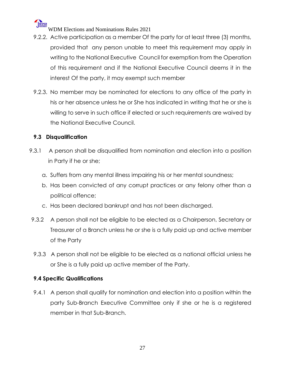

- 9.2.2. Active participation as a member Of the party for at least three (3) months, provided that any person unable to meet this requirement may apply in writing to the National Executive Council for exemption from the Operation of this requirement and if the National Executive Council deems it in the interest Of the party, it may exempt such member
- 9.2.3. No member may be nominated for elections to any office of the party in his or her absence unless he or She has indicated in writing that he or she is willing to serve in such office if elected or such requirements are waived by the National Executive Council.

#### **9.3 Disqualification**

- 9.3.1 A person shall be disqualified from nomination and election into a position in Party if he or she;
	- a. Suffers from any mental illness impairing his or her mental soundness;
	- b. Has been convicted of any corrupt practices or any felony other than a political offence;
	- c. Has been declared bankrupt and has not been discharged.
- 9.3.2 A person shall not be eligible to be elected as a Chairperson, Secretary or Treasurer of a Branch unless he or she is a fully paid up and active member of the Party
- 9.3.3 A person shall not be eligible to be elected as a national official unless he or She is a fully paid up active member of the Party.

#### **9.4 Specific Qualifications**

9.4.1 A person shall qualify for nomination and election into a position within the party Sub-Branch Executive Committee only if she or he is a registered member in that Sub-Branch.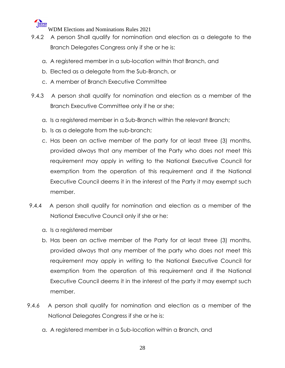

- 9.4.2 A person Shall qualify for nomination and election as a delegate to the Branch Delegates Congress only if she or he is:
	- a. A registered member in a sub-location within that Branch, and
	- b. Elected as a delegate from the Sub-Branch, or
	- c. A member of Branch Executive Committee
- 9.4.3 A person shall qualify for nomination and election as a member of the Branch Executive Committee only if he or she;
	- a. Is a registered member in a Sub-Branch within the relevant Branch;
	- b. Is as a delegate from the sub-branch;
	- c. Has been an active member of the party for at least three (3) months, provided always that any member of the Party who does not meet this requirement may apply in writing to the National Executive Council for exemption from the operation of this requirement and if the National Executive Council deems it in the interest of the Party it may exempt such member.
- 9.4.4 A person shall qualify for nomination and election as a member of the National Executive Council only if she or he:
	- a. Is a registered member
	- b. Has been an active member of the Party for at least three (3) months, provided always that any member of the party who does not meet this requirement may apply in writing to the National Executive Council for exemption from the operation of this requirement and if the National Executive Council deems it in the interest of the party it may exempt such member.
- 9.4.6 A person shall qualify for nomination and election as a member of the National Delegates Congress if she or he is:
	- a. A registered member in a Sub-location within a Branch, and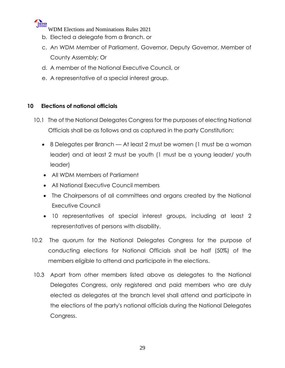

- b. Elected a delegate from a Branch. or
- c. An WDM Member of Parliament, Governor, Deputy Governor, Member of County Assembly; Or
- d. A member of the National Executive Council, or
- e. A representative of a special interest group.

#### **10 Elections of national officials**

- 10.1 The of the National Delegates Congress for the purposes of electing National Officials shall be as follows and as captured in the party Constitution;
	- 8 Delegates per Branch At least 2 must be women (1 must be a woman leader) and at least 2 must be youth (1 must be a young leader/ youth leader)
	- All WDM Members of Parliament
	- All National Executive Council members
	- The Chairpersons of all committees and organs created by the National Executive Council
	- 10 representatives of special interest groups, including at least 2 representatives of persons with disability.
- 10.2 The quorum for the National Delegates Congress for the purpose of conducting elections for National Officials shall be half (50%) of the members eligible to attend and participate in the elections.
- 10.3 Apart from other members listed above as delegates to the National Delegates Congress, only registered and paid members who are duly elected as delegates at the branch level shall attend and participate in the elections of the party's national officials during the National Delegates Congress.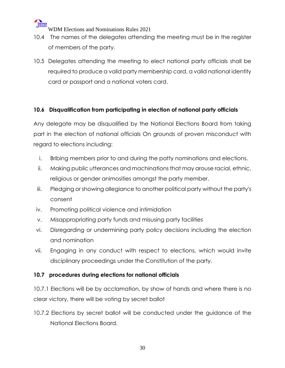

- 10.4 The names of the delegates attending the meeting must be in the register of members of the party.
- 10.5 Delegates attending the meeting to elect national party officials shall be required to produce a valid party membership card, a valid national identity card or passport and a national voters card.

#### **10.6 Disqualification from participating in election of national party officials**

Any delegate may be disqualified by the National Elections Board from taking part in the election of national officials On grounds of proven misconduct with regard to elections including:

- i. Bribing members prior to and during the patty nominations and elections.
- ii. Making public utterances and machinations that may arouse racial, ethnic, religious or gender animosities amongst the party member.
- iii. Pledging or showing allegiance to another political party without the party's consent
- iv. Promoting political violence and intimidation
- v. Misappropriating party funds and misusing party facilities
- vi. Disregarding or undermining party policy decisions including the election and nomination
- vii. Engaging in any conduct with respect to elections, which would invite disciplinary proceedings under the Constitution of the party,

#### **10.7 procedures during elections for national officials**

10.7.1 Elections will be by acclamation, by show of hands and where there is no clear victory, there will be voting by secret ballot

10.7.2 Elections by secret ballot will be conducted under the guidance of the National Elections Board.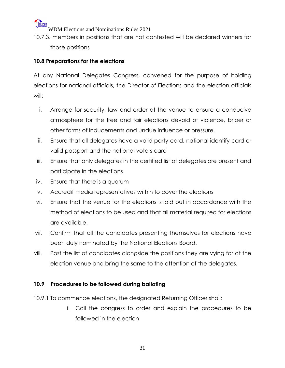10.7.3. members in positions that are not contested will be declared winners for those positions

#### **10.8 Preparations for the elections**

At any National Delegates Congress, convened for the purpose of holding elections for national officials, the Director of Elections and the election officials will:

- i. Arrange for security, law and order at the venue to ensure a conducive atmosphere for the free and fair elections devoid of violence, briber or other forms of inducements and undue influence or pressure.
- ii. Ensure that all delegates have a valid party card, national identify card or valid passport and the national voters card
- iii. Ensure that only delegates in the certified list of delegates are present and participate in the elections
- iv. Ensure that there is a quorum
- v. Accredit media representatives within to cover the elections
- vi. Ensure that the venue for the elections is laid out in accordance with the method of elections to be used and that all material required for elections are available.
- vii. Confirm that all the candidates presenting themselves for elections have been duly nominated by the National Elections Board.
- viii. Post the list of candidates alongside the positions they are vying for at the election venue and bring the same to the attention of the delegates.

#### **10.9 Procedures to be followed during balloting**

- 10.9.1 To commence elections, the designated Returning Officer shall:
	- i. Call the congress to order and explain the procedures to be followed in the election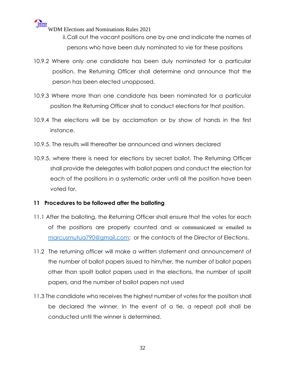ii.Call out the vacant positions one by one and indicate the names of persons who have been duly nominated to vie for these positions

- 10.9.2 Where only one candidate has been duly nominated for a particular position, the Returning Officer shall determine and announce that the person has been elected unopposed.
- 10.9.3 Where more than one candidate has been nominated for a particular position the Returning Officer shall to conduct elections for that position.
- 10.9.4 The elections will be by acclamation or by show of hands in the first instance.
- 10.9.5. The results will thereafter be announced and winners declared
- 10.9.5. where there is need for elections by secret ballot, The Returning Officer shall provide the delegates with ballot papers and conduct the election for each of the positions in a systematic order until all the position have been voted for.

#### **11 Procedures to be followed after the balloting**

- 11.1 After the balloting, the Returning Officer shall ensure that the votes for each of the positions are properly counted and or communicated or emailed to [marcusmutua790@gmail.com;](mailto:marcusmutua790@gmail.com) or the contacts of the Director of Elections.
- 11.2 The returning officer will make a written statement and announcement of the number of ballot papers issued to him/her, the number of ballot papers other than spoilt ballot papers used in the elections, the number of spoilt papers, and the number of ballot papers not used
- 11.3 The candidate who receives the highest number of votes for the position shall be declared the winner. In the event of a tie, a repeat poll shall be conducted until the winner is determined.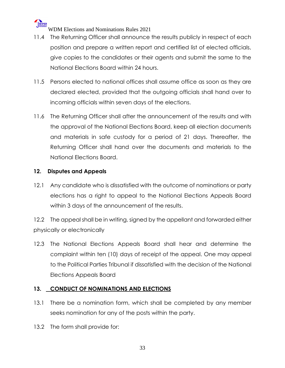

- 11.4 The Returning Officer shall announce the results publicly in respect of each position and prepare a written report and certified list of elected officials, give copies to the candidates or their agents and submit the same to the National Elections Board within 24 hours.
- 11.5 Persons elected to national offices shall assume office as soon as they are declared elected, provided that the outgoing officials shall hand over to incoming officials within seven days of the elections.
- 11.6 The Returning Officer shall after the announcement of the results and with the approval of the National Elections Board, keep all election documents and materials in safe custody for a period of 21 days. Thereafter, the Returning Officer shall hand over the documents and materials to the National Elections Board.

#### **12. Disputes and Appeals**

12.1 Any candidate who is dissatisfied with the outcome of nominations or party elections has a right to appeal to the National Elections Appeals Board within 3 days of the announcement of the results.

12.2 The appeal shall be in writing, signed by the appellant and forwarded either physically or electronically

12.3 The National Elections Appeals Board shall hear and determine the complaint within ten (10) days of receipt of the appeal. One may appeal to the Political Parties Tribunal if dissatisfied with the decision of the National Elections Appeals Board

#### **13. CONDUCT OF NOMINATIONS AND ELECTIONS**

- 13.1 There be a nomination form, which shall be completed by any member seeks nomination for any of the posts within the party.
- 13.2 The form shall provide for: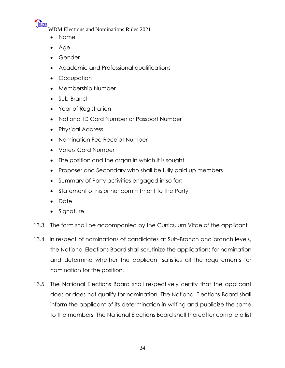- Name
- Age
- Gender
- Academic and Professional qualifications
- Occupation
- Membership Number
- Sub-Branch
- Year of Registration
- National ID Card Number or Passport Number
- Physical Address
- Nomination Fee Receipt Number
- Voters Card Number
- The position and the organ in which it is sought
- Proposer and Secondary who shall be fully paid up members
- Summary of Party activities engaged in so far;
- Statement of his or her commitment to the Party
- Date
- Signature
- 13.3 The form shall be accompanied by the Curriculum Vitae of the applicant
- 13.4 In respect of nominations of candidates at Sub-Branch and branch levels, the National Elections Board shall scrutinize the applications for nomination and determine whether the applicant satisfies all the requirements for nomination for the position.
- 13.5 The National Elections Board shall respectively certify that the applicant does or does not qualify for nomination. The National Elections Board shall inform the applicant of its determination in writing and publicize the same to the members. The National Elections Board shall thereafter compile a list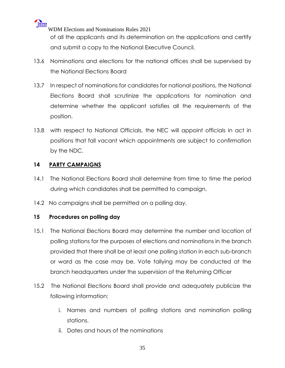**WIPER** WDM Elections and Nominations Rules 2021 of all the applicants and its determination on the applications and certify and submit a copy to the National Executive Council.

- 13.6 Nominations and elections for the national offices shall be supervised by the National Elections Board
- 13.7 In respect of nominations for candidates for national positions, the National Elections Board shall scrutinize the applications for nomination and determine whether the applicant satisfies all the requirements of the position.
- 13.8 with respect to National Officials, the NEC will appoint officials in act in positions that fall vacant which appointments are subject to confirmation by the NDC.

#### **14 PARTY CAMPAIGNS**

- 14.1 The National Elections Board shall determine from time to time the period during which candidates shall be permitted to campaign.
- 14.2 No campaigns shall be permitted on a polling day.

#### **15 Procedures on polling day**

- 15.1 The National Elections Board may determine the number and location of polling stations for the purposes of elections and nominations in the branch provided that there shall be at least one polling station in each sub-branch or ward as the case may be. Vote tallying may be conducted at the branch headquarters under the supervision of the Returning Officer
- 15.2 The National Elections Board shall provide and adequately publicize the following information:
	- i. Names and numbers of polling stations and nomination polling stations.
	- ii. Dates and hours of the nominations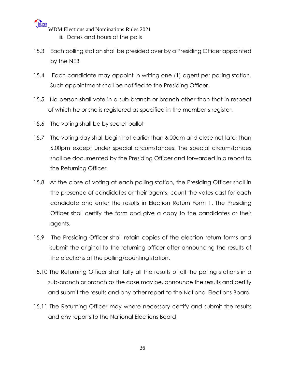WEREN WDM Elections and Nominations Rules 2021 iii. Dates and hours of the polls

- 15.3 Each polling station shall be presided over by a Presiding Officer appointed by the NEB
- 15.4 Each candidate may appoint in writing one (1) agent per polling station. Such appointment shall be notified to the Presiding Officer.
- 15.5 No person shall vote in a sub-branch or branch other than that in respect of which he or she is registered as specified in the member's register.
- 15.6 The voting shall be by secret ballot
- 15.7 The voting day shall begin not earlier than 6.00am and close not later than 6.00pm except under special circumstances. The special circumstances shall be documented by the Presiding Officer and forwarded in a report to the Returning Officer.
- 15.8 At the close of voting at each polling station, the Presiding Officer shall in the presence of candidates or their agents, count the votes cast for each candidate and enter the results in Election Return Form 1. The Presiding Officer shall certify the form and give a copy to the candidates or their agents.
- 15.9 The Presiding Officer shall retain copies of the election return forms and submit the original to the returning officer after announcing the results of the elections at the polling/counting station.
- 15.10 The Returning Officer shall tally all the results of all the polling stations in a sub-branch or branch as the case may be, announce the results and certify and submit the results and any other report to the National Elections Board
- 15.11 The Returning Officer may where necessary certify and submit the results and any reports to the National Elections Board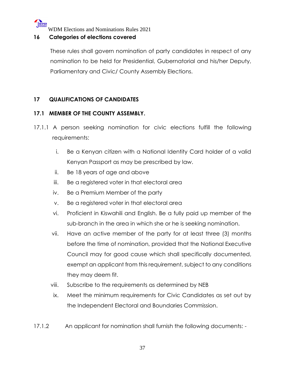

#### **16 Categories of elections covered**

These rules shall govern nomination of party candidates in respect of any nomination to be held for Presidential, Gubernatorial and his/her Deputy, Parliamentary and Civic/ County Assembly Elections.

#### **17 QUALIFICATIONS OF CANDIDATES**

#### **17.1 MEMBER OF THE COUNTY ASSEMBLY.**

- 17.1.1 A person seeking nomination for civic elections fulfill the following requirements:
	- i. Be a Kenyan citizen with a National Identity Card holder of a valid Kenyan Passport as may be prescribed by law.
	- ii. Be 18 years of age and above
	- iii. Be a registered voter in that electoral area
	- iv. Be a Premium Member of the party
	- v. Be a registered voter in that electoral area
	- vi. Proficient in Kiswahili and English. Be a fully paid up member of the sub-branch in the area in which she or he is seeking nomination.
	- vii. Have an active member of the party for at least three (3) months before the time of nomination, provided that the National Executive Council may for good cause which shall specifically documented, exempt an applicant from this requirement, subject to any conditions they may deem fit.
	- viii. Subscribe to the requirements as determined by NEB
	- ix. Meet the minimum requirements for Civic Candidates as set out by the Independent Electoral and Boundaries Commission.
- 17.1.2 An applicant for nomination shall furnish the following documents: -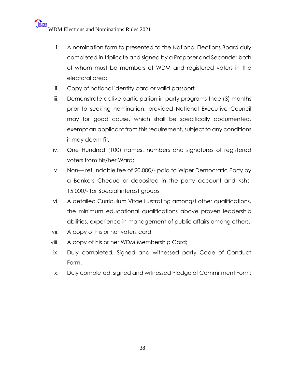- i. A nomination form to presented to the National Elections Board duly completed in triplicate and signed by a Proposer and Seconder both of whom must be members of WDM and registered voters in the electoral area;
- ii. Copy of national identity card or valid passport
- iii. Demonstrate active participation in party programs thee (3) months prior to seeking nomination, provided National Executive Council may for good cause, which shall be specifically documented, exempt an applicant from this requirement, subject to any conditions it may deem fit,
- iv. One Hundred (100) names, numbers and signatures of registered voters from his/her Ward;
- v. Non— refundable fee of 20,000/- paid to Wiper Democratic Party by a Bankers Cheque or deposited in the party account and Kshs-15,000/- for Special interest groups
- vi. A detailed Curriculum Vitae illustrating amongst other qualifications, the minimum educational qualifications above proven leadership abilities, experience in management of public affairs among others.
- vii. A copy of his or her voters card;
- viii. A copy of his or her WDM Membership Card;
- ix. Duly completed, Signed and witnessed party Code of Conduct Form.
- x. Duly completed, signed and witnessed Pledge of Commitment Form;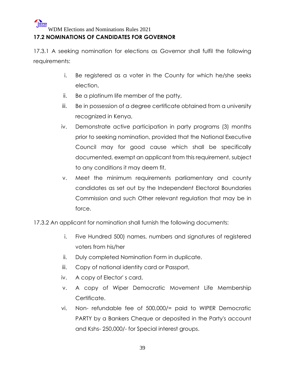#### **17.2 NOMINATIONS OF CANDIDATES FOR GOVERNOR**

17.3.1 A seeking nomination for elections as Governor shall fulfil the following requirements:

- i. Be registered as a voter in the County for which he/she seeks election,
- ii. Be a platinum life member of the patty,
- iii. Be in possession of a degree certificate obtained from a university recognized in Kenya,
- iv. Demonstrate active participation in party programs (3) months prior to seeking nomination, provided that the National Executive Council may for good cause which shall be specifically documented, exempt an applicant from this requirement, subject to any conditions it may deem fit,
- v. Meet the minimum requirements parliamentary and county candidates as set out by the Independent Electoral Boundaries Commission and such Other relevant regulation that may be in force.

17.3.2 An applicant for nomination shall furnish the following documents:

- i. Five Hundred 500) names, numbers and signatures of registered voters from his/her
- ii. Duly completed Nomination Form in duplicate.
- iii. Copy of national identity card or Passport,
- iv. A copy of Elector' s card,
- v. A copy of Wiper Democratic Movement Life Membership Certificate.
- vi. Non- refundable fee of 500,000/= paid to WIPER Democratic PARTY by a Bankers Cheque or deposited in the Party's account and Kshs- 250,000/- for Special interest groups.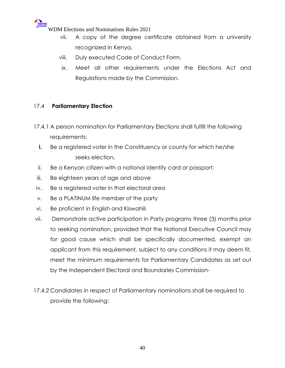

- vii. A copy of the degree certificate obtained from a university recognized in Kenya,
- viii. Duly executed Code of Conduct Form.
- ix. Meet all other requirements under the Elections Act and Regulations made by the Commission.

#### 17.4 **Parliamentary Election**

- 17.4.1 A person nomination for Parliamentary Elections shall fulfill the following requirements:
	- **i.** Be a registered voter in the Constituency or county for which he/she seeks election,
	- ii. Be a Kenyan citizen with a national identity card or passport;
- iii. Be eighteen years of age and above
- iv. Be a registered voter in that electoral area
- v. Be a PLATINUM life member of the party
- vi. Be proficient in English and Kiswahili
- vii. Demonstrate active participation in Party programs three (3) months prior to seeking nomination, provided that the National Executive Council may for good cause which shall be specifically documented, exempt an applicant from this requirement, subject to any conditions it may deem fit, meet the minimum requirements for Parliamentary Candidates as set out by the Independent Electoral and Boundaries Commission-
- 17.4.2 Candidates in respect of Parliamentary nominations shall be required to provide the following: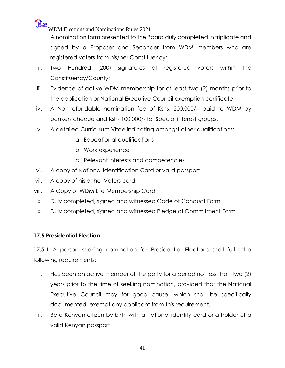

- i. A nomination form presented to the Board duly completed in triplicate and signed by a Proposer and Seconder from WDM members who are registered voters from his/her Constituency;
- ii. Two Hundred (200) signatures of registered voters within the Constituency/County;
- iii. Evidence of active WDM membership for at least two (2) months prior to the application or National Executive Council exemption certificate.
- iv. A Non-refundable nomination fee of Kshs. 200,000/= paid to WDM by bankers cheque and Ksh- 100,000/- for Special interest groups.
- v. A detailed Curriculum Vitae indicating amongst other qualifications:
	- a. Educational qualifications
	- b. Work experience
	- c. Relevant interests and competencies
- vi. A copy of National Identification Card or valid passport
- vii. A copy of his or her Voters card
- viii. A Copy of WDM Life Membership Card
- ix. Duly completed, signed and witnessed Code of Conduct Form
- x. Duly completed, signed and witnessed Pledge of Commitment Form

#### **17.5 Presidential Election**

17.5.1 A person seeking nomination for Presidential Elections shall fulfill the following requirements:

- i. Has been an active member of the party for a period not less than two (2) years prior to the time of seeking nomination, provided that the National Executive Council may for good cause, which shall be specifically documented, exempt any applicant from this requirement.
- ii. Be a Kenyan citizen by birth with a national identity card or a holder of a valid Kenyan passport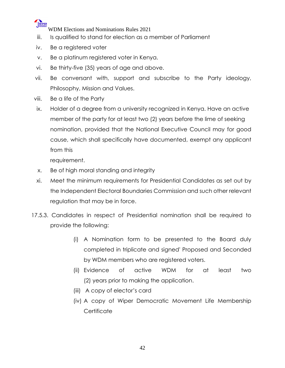

- iii. Is qualified to stand for election as a member of Parliament
- iv. Be a registered voter
- v. Be a platinum registered voter in Kenya.
- vi. Be thirty-five (35) years of age and above.
- vii. Be conversant with, support and subscribe to the Party ideology, Philosophy, Mission and Values.
- viii. Be a life of the Party
- ix. Holder of a degree from a university recognized in Kenya. Have an active member of the party for at least two (2) years before the lime of seeking nomination, provided that the National Executive Council may for good cause, which shall specifically have documented, exempt any applicant from this

requirement.

- x. Be of high moral standing and integrity
- xi. Meet the minimum requirements for Presidential Candidates as set out by the Independent Electoral Boundaries Commission and such other relevant regulation that may be in force.
- 17.5.3. Candidates in respect of Presidential nomination shall be required to provide the following:
	- (i) A Nomination form to be presented to the Board duly completed in triplicate and signed' Proposed and Seconded by WDM members who are registered voters.
	- (ii) Evidence of active WDM for at least two (2) years prior to making the application.
	- (iii) A copy of elector's card
	- (iv) A copy of Wiper Democratic Movement Life Membership **Certificate**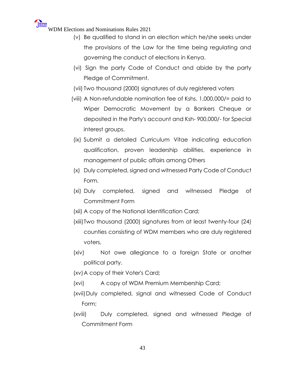- (v) Be qualified to stand in an election which he/she seeks under the provisions of the Law for the time being regulating and governing the conduct of elections in Kenya.
- (vi) Sign the party Code of Conduct and abide by the party Pledge of Commitment.
- (vii) Two thousand (2000) signatures of duly registered voters
- (viii) A Non-refundable nomination fee of Kshs. 1,000,000/= paid to Wiper Democratic Movement by a Bankers Cheque or deposited in the Party's account and Ksh- 900,000/- for Special interest groups.
- (ix) Submit a detailed Curriculum Vitae indicating education qualification, proven leadership abilities, experience in management of public affairs among Others
- (x) Duly completed, signed and witnessed Party Code of Conduct Form.
- (xi) Duly completed, signed and witnessed Pledge of Commitment Form
- (xii) A copy of the National Identification Card;
- (xiii)Two thousand (2000) signatures from at least twenty-four (24) counties consisting of WDM members who are duly registered voters,
- (xiv) Not owe allegiance to a foreign State or another political party.
- (xv)A copy of their Voter's Card;
- (xvi) A copy of WDM Premium Membership Card;
- (xvii)Duly completed, signal and witnessed Code of Conduct Form;
- (xviii) Duly completed, signed and witnessed Pledge of Commitment Form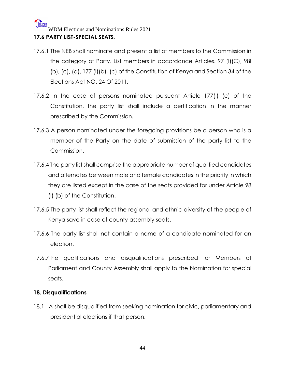#### WIPER WDM Elections and Nominations Rules 2021 **17.6 PARTY LIST-SPECIAL SEATS**.

- 17.6.1 The NEB shall nominate and present a list of members to the Commission in the category of Party. List members in accordance Articles. 97 (I)(C), 98I (b), (c), (d), 177 (I)(b), (c) of the Constitution of Kenya and Section 34 of the Elections Act NO. 24 Of 2011.
- 17.6.2 In the case of persons nominated pursuant Article 177(I) (c) of the Constitution, the party list shall include a certification in the manner prescribed by the Commission.
- 17.6.3 A person nominated under the foregoing provisions be a person who is a member of the Party on the date of submission of the party list to the Commission.
- 17.6.4 The party list shall comprise the appropriate number of qualified candidates and alternates between male and female candidates in the priority in which they are listed except in the case of the seats provided for under Article 98 (I) (b) of the Constitution.
- 17.6.5 The party list shall reflect the regional and ethnic diversity of the people of Kenya save in case of county assembly seats.
- 17.6.6 The party list shall not contain a name of a candidate nominated for an election.
- 17.6.7The qualifications and disqualifications prescribed for Members of Parliament and County Assembly shall apply to the Nomination for special seats.

#### **18. Disqualifications**

18.1 A shall be disqualified from seeking nomination for civic, parliamentary and presidential elections if that person: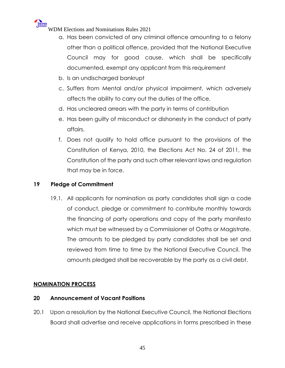## WIPER

WDM Elections and Nominations Rules 2021

- a. Has been convicted of any criminal offence amounting to a felony other than a political offence, provided that the National Executive Council may for good cause, which shall be specifically documented, exempt any applicant from this requirement
- b. Is an undischarged bankrupt
- c. Suffers from Mental and/or physical impairment, which adversely affects the ability to carry out the duties of the office.
- d. Has uncleared arrears with the party in terms of contribution
- e. Has been guilty of misconduct or dishonesty in the conduct of party affairs.
- f. Does not qualify to hold office pursuant to the provisions of the Constitution of Kenya, 2010, the Elections Act No. 24 of 2011, the Constitution of the party and such other relevant laws and regulation that may be in force.

#### **19 Pledge of Commitment**

19.1. All applicants for nomination as party candidates shall sign a code of conduct, pledge or commitment to contribute monthly towards the financing of party operations and copy of the party manifesto which must be witnessed by a Commissioner of Oaths or Magistrate. The amounts to be pledged by party candidates shall be set and reviewed from time to time by the National Executive Council. The amounts pledged shall be recoverable by the party as a civil debt.

#### **NOMINATION PROCESS**

#### **20 Announcement of Vacant Positions**

20.1 Upon a resolution by the National Executive Council, the National Elections Board shall advertise and receive applications in forms prescribed in these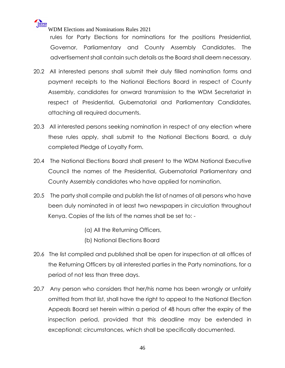

rules for Party Elections for nominations for the positions Presidential, Governor, Parliamentary and County Assembly Candidates. The advertisement shall contain such details as the Board shall deem necessary.

- 20.2 All interested persons shall submit their duly filled nomination forms and payment receipts to the National Elections Board in respect of County Assembly, candidates for onward transmission to the WDM Secretariat in respect of Presidential, Gubernatorial and Parliamentary Candidates, attaching all required documents.
- 20.3 All interested persons seeking nomination in respect of any election where these rules apply, shall submit to the National Elections Board, a duly completed Pledge of Loyalty Form.
- 20.4 The National Elections Board shall present to the WDM National Executive Council the names of the Presidential, Gubernatorial Parliamentary and County Assembly candidates who have applied for nomination.
- 20.5 The party shall compile and publish the list of names of all persons who have been duly nominated in at least two newspapers in circulation throughout Kenya. Copies of the lists of the names shall be set to: -
	- (a) All the Returning Officers,
	- (b) National Elections Board
- 20.6 The list compiled and published shall be open for inspection at all offices of the Returning Officers by all interested parties in the Party nominations, for a period of not less than three days.
- 20.7 Any person who considers that her/his name has been wrongly or unfairly omitted from that list, shall have the right to appeal to the National Election Appeals Board set herein within a period of 48 hours after the expiry of the inspection period, provided that this deadline may be extended in exceptional; circumstances, which shall be specifically documented.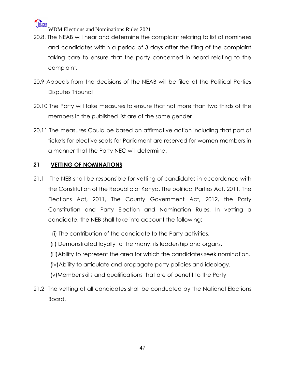

- 20.8. The NEAB will hear and determine the complaint relating to list of nominees and candidates within a period of 3 days after the filing of the complaint taking care to ensure that the party concerned in heard relating to the complaint.
- 20.9 Appeals from the decisions of the NEAB will be filed at the Political Parties Disputes Tribunal
- 20.10 The Party will take measures to ensure that not more than two thirds of the members in the published list are of the same gender
- 20.11 The measures Could be based on affirmative action including that part of tickets for elective seats for Parliament are reserved for women members in a manner that the Party NEC will determine.

#### **21 VETTING OF NOMINATIONS**

- 21.1 The NEB shall be responsible for vetting of candidates in accordance with the Constitution of the Republic of Kenya, The political Parties Act, 2011, The Elections Act, 2011, The County Government Act, 2012, the Party Constitution and Party Election and Nomination Rules. In vetting a candidate, the NEB shall take into account the following:
	- (i) The contribution of the candidate to the Party activities.
	- (ii) Demonstrated loyally to the many, its leadership and organs.
	- (iii)Ability to represent the area for which the candidates seek nomination.
	- (iv)Ability to articulate and propagate party policies and ideology.
	- (v)Member skills and qualifications that are of benefit to the Party
- 21.2 The vetting of all candidates shall be conducted by the National Elections Board.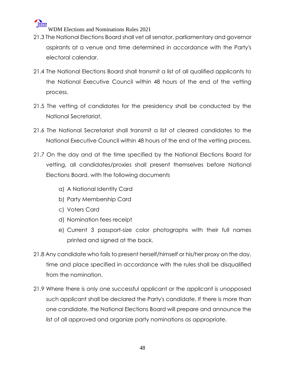

- 21.3 The National Elections Board shall vet all senator, parliamentary and governor aspirants at a venue and time determined in accordance with the Party's electoral calendar.
- 21.4 The National Elections Board shall transmit a list of all qualified applicants to the National Executive Council within 48 hours of the end of the vetting process.
- 21.5 The vetting of candidates for the presidency shall be conducted by the National Secretariat.
- 21.6 The National Secretariat shall transmit a list of cleared candidates to the National Executive Council within 48 hours of the end of the vetting process.
- 21.7 On the day and at the time specified by the National Elections Board for vetting, all candidates/proxies shall present themselves before National Elections Board, with the following documents
	- a) A National Identity Card
	- b) Party Membership Card
	- c) Voters Card
	- d) Nomination fees receipt
	- e) Current 3 passport-size color photographs with their full names printed and signed at the back.
- 21.8 Any candidate who fails to present herself/himself or his/her proxy on the day, time and place specified in accordance with the rules shall be disqualified from the nomination.
- 21.9 Where there is only one successful applicant or the applicant is unopposed such applicant shall be declared the Party's candidate. If there is more than one candidate, the National Elections Board will prepare and announce the list of all approved and organize party nominations as appropriate.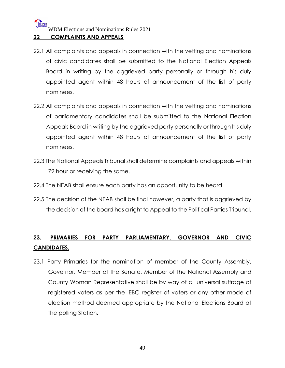#### **22 COMPLAINTS AND APPEALS**

- 22.1 All complaints and appeals in connection with the vetting and nominations of civic candidates shall be submitted to the National Election Appeals Board in writing by the aggrieved party personally or through his duly appointed agent within 48 hours of announcement of the list of party nominees.
- 22.2 All complaints and appeals in connection with the vetting and nominations of parliamentary candidates shall be submitted to the National Election Appeals Board in writing by the aggrieved party personally or through his duly appointed agent within 48 hours of announcement of the list of party nominees.
- 22.3 The National Appeals Tribunal shall determine complaints and appeals within 72 hour or receiving the same.
- 22.4 The NEAB shall ensure each party has an opportunity to be heard
- 22.5 The decision of the NEAB shall be final however, a party that is aggrieved by the decision of the board has a right to Appeal to the Political Parties Tribunal.

### **23. PRIMARIES FOR PARTY PARLIAMENTARY, GOVERNOR AND CIVIC CANDIDATES.**

23.1 Party Primaries for the nomination of member of the County Assembly, Governor, Member of the Senate, Member of the National Assembly and County Woman Representative shall be by way of all universal suffrage of registered voters as per the IEBC register of voters or any other mode of election method deemed appropriate by the National Elections Board at the polling Station.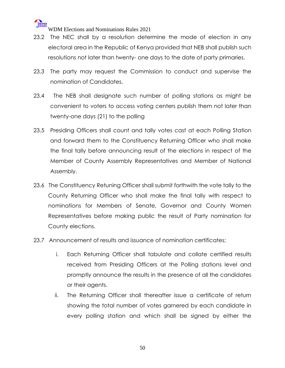

- 23.2 The NEC shall by a resolution determine the mode of election in any electoral area in the Republic of Kenya provided that NEB shall publish such resolutions not later than twenty- one days to the date of party primaries.
- 23.3 The party may request the Commission to conduct and supervise the nomination of Candidates.
- 23.4 The NEB shall designate such number of polling stations as might be convenient to voters to access voting centers publish them not later than twenty-one days (21) to the polling
- 23.5 Presiding Officers shall count and tally votes cast at each Polling Station and forward them to the Constituency Returning Officer who shall make the final tally before announcing result of the elections in respect of the Member of County Assembly Representatives and Member of National Assembly.
- 23.6 The Constituency Retuning Officer shall submit forthwith the vote tally to the County Returning Officer who shall make the final tally with respect to nominations for Members of Senate, Governor and County Women Representatives before making public the result of Party nomination for County elections.
- 23.7 Announcement of results and issuance of nomination certificates;
	- i. Each Returning Officer shall tabulate and collate certified results received from Presiding Officers at the Polling stations level and promptly announce the results in the presence of all the candidates or their agents.
	- ii. The Returning Officer shall thereafter issue a certificate of return showing the total number of votes garnered by each candidate in every polling station and which shall be signed by either the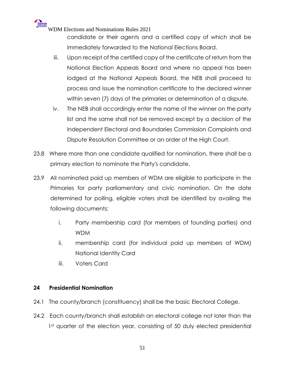> candidate or their agents and a certified copy of which shall be immediately forwarded to the National Elections Board.

- iii. Upon receipt of the certified copy of the certificate of return from the National Election Appeals Board and where no appeal has been lodged at the National Appeals Board, the NEB shall proceed to process and issue the nomination certificate to the declared winner within seven (7) days of the primaries or determination of a dispute.
- iv. The NEB shall accordingly enter the name of the winner on the party list and the same shall not be removed except by a decision of the Independent Electoral and Boundaries Commission Complaints and Dispute Resolution Committee or an order of the High Court.
- 23.8 Where more than one candidate qualified for nomination, there shall be a primary election to nominate the Party's candidate.
- 23.9 All nominated paid up members of WDM are eligible to participate in the Primaries for party parliamentary and civic nomination. On the date determined for polling, eligible voters shall be identified by availing the following documents:
	- i. Party membership card (for members of founding parties) and WDM
	- ii. membership card (for individual paid up members of WDM) National Identity Card
	- iii. Voters Card

#### **24 Presidential Nomination**

- 24.1 The county/branch (constituency) shall be the basic Electoral College.
- 24.2 Each county/branch shall establish an electoral college not later than the 1st quarter of the election year, consisting of 50 duly elected presidential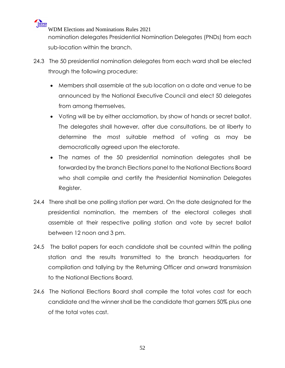WIPER WDM Elections and Nominations Rules 2021 nomination delegates Presidential Nomination Delegates (PNDs) from each sub-location within the branch.

- 24.3 The 50 presidential nomination delegates from each ward shall be elected through the following procedure:
	- Members shall assemble at the sub location on a date and venue to be announced by the National Executive Council and elect 50 delegates from among themselves,
	- Voting will be by either acclamation, by show of hands or secret ballot. The delegates shall however, after due consultations, be at liberty to determine the most suitable method of voting as may be democratically agreed upon the electorate.
	- The names of the 50 presidential nomination delegates shall be forwarded by the branch Elections panel to the National Elections Board who shall compile and certify the Presidential Nomination Delegates Register.
- 24.4 There shall be one polling station per ward. On the date designated for the presidential nomination, the members of the electoral colleges shall assemble at their respective polling station and vote by secret ballot between 12 noon and 3 pm.
- 24.5 The ballot papers for each candidate shall be counted within the polling station and the results transmitted to the branch headquarters for compilation and tallying by the Returning Officer and onward transmission to the National Elections Board.
- 24.6 The National Elections Board shall compile the total votes cast for each candidate and the winner shall be the candidate that garners 50% plus one of the total votes cast.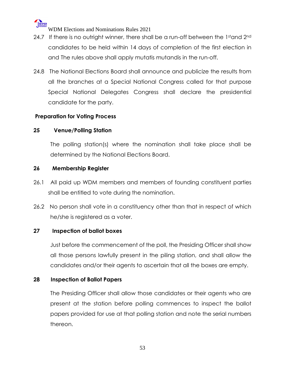

- 24.7 If there is no outright winner, there shall be a run-off between the 1stand 2nd candidates to be held within 14 days of completion of the first election in and The rules above shall apply mutatis mutandis in the run-off.
- 24.8 The National Elections Board shall announce and publicize the results from all the branches at a Special National Congress called for that purpose Special National Delegates Congress shall declare the presidential candidate for the party.

#### **Preparation for Voting Process**

#### **25 Venue/Polling Station**

The polling station(s) where the nomination shall take place shall be determined by the National Elections Board.

#### **26 Membership Register**

- 26.1 All paid up WDM members and members of founding constituent parties shall be entitled to vote during the nomination.
- 26.2 No person shall vote in a constituency other than that in respect of which he/she is registered as a voter.

#### **27 Inspection of ballot boxes**

Just before the commencement of the poll, the Presiding Officer shall show all those persons lawfully present in the piling station, and shall allow the candidates and/or their agents to ascertain that all the boxes are empty.

#### **28 Inspection of Ballot Papers**

The Presiding Officer shall allow those candidates or their agents who are present at the station before polling commences to inspect the ballot papers provided for use at that polling station and note the serial numbers thereon.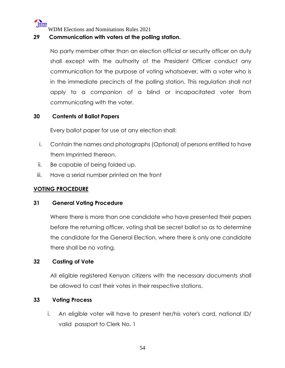

#### **29 Communication with voters at the polling station.**

No party member other than an election official or security officer on duty shall except with the authority of the President Officer conduct any communication for the purpose of voting whatsoever, with a voter who is in the immediate precincts of the polling station. This regulation shall not apply to a companion of a blind or incapacitated voter from communicating with the voter.

#### **30 Contents of Ballot Papers**

Every ballot paper for use at any election shall:

- i. Contain the names and photographs (Optional) of persons entitled to have them Imprinted thereon.
- ii. Be capable of being folded up.
- iii. Have a serial number printed on the front

#### **VOTING PROCEDURE**

#### **31 General Voting Procedure**

Where there is more than one candidate who have presented their papers before the returning officer, voting shall be secret ballot so as to determine the candidate for the General Election, where there is only one candidate there shall be no voting.

#### **32 Casting of Vote**

All eligible registered Kenyan citizens with the necessary documents shall be allowed to cast their votes in their respective stations.

#### **33 Voting Process**

i. An eligible voter will have to present her/his voter's card, national ID/ valid passport to Clerk No. 1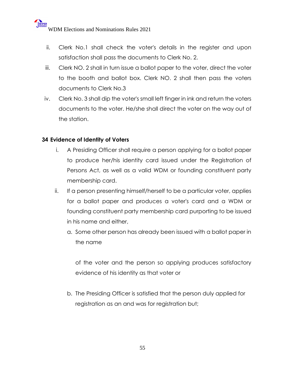- ii. Clerk No.1 shall check the voter's details in the register and upon satisfaction shall pass the documents to Clerk No. 2.
- iii. Clerk NO. 2 shall in turn issue a ballot paper to the voter, direct the voter to the booth and ballot box. Clerk NO. 2 shall then pass the voters documents to Clerk No.3
- iv. Clerk No. 3 shall dip the voter's small left finger in ink and return the voters documents to the voter. He/she shall direct the voter on the way out of the station.

#### **34 Evidence of Identity of Voters**

- i. A Presiding Officer shall require a person applying for a ballot paper to produce her/his identity card issued under the Registration of Persons Act, as well as a valid WDM or founding constituent party membership card.
- ii. If a person presenting himself/herself to be a particular voter, applies for a ballot paper and produces a voter's card and a WDM or founding constituent party membership card purporting to be issued in his name and either,
	- a. Some other person has already been issued with a ballot paper in the name

of the voter and the person so applying produces satisfactory evidence of his identity as that voter or

b. The Presiding Officer is satisfied that the person duly applied for registration as an and was for registration but;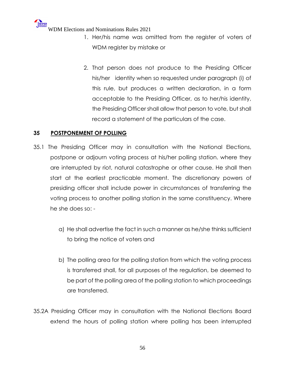- 1. Her/his name was omitted from the register of voters of WDM register by mistake or
- 2. That person does not produce to the Presiding Officer his/her identity when so requested under paragraph (i) of this rule, but produces a written declaration, in a form acceptable to the Presiding Officer, as to her/his identity, the Presiding Officer shall allow that person to vote, but shall record a statement of the particulars of the case.

#### **35 POSTPONEMENT OF POLLING**

- 35.1 The Presiding Officer may in consultation with the National Elections, postpone or adjourn voting process at his/her polling station. where they are interrupted by riot, natural catastrophe or other cause. He shall then start at the earliest practicable moment. The discretionary powers of presiding officer shall include power in circumstances of transferring the voting process to another polling station in the same constituency. Where he she does so:
	- a) He shall advertise the fact in such a manner as he/she thinks sufficient to bring the notice of voters and
	- b) The polling area for the polling station from which the voting process is transferred shall, for all purposes of the regulation, be deemed to be part of the polling area of the polling station to which proceedings are transferred.
- 35.2A Presiding Officer may in consultation with the National Elections Board extend the hours of polling station where polling has been interrupted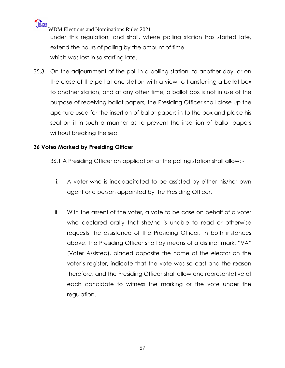

WDM Elections and Nominations Rules 2021 under this regulation, and shall, where polling station has started late, extend the hours of polling by the amount of time which was lost in so starting late.

35.3. On the adjournment of the poll in a polling station, to another day, or on the close of the poll at one station with a view to transferring a ballot box to another station, and at any other time, a ballot box is not in use of the purpose of receiving ballot papers, the Presiding Officer shall close up the aperture used for the insertion of ballot papers in to the box and place his seal on it in such a manner as to prevent the insertion of ballot papers without breaking the seal

#### **36 Votes Marked by Presiding Officer**

36.1 A Presiding Officer on application at the polling station shall allow: -

- i. A voter who is incapacitated to be assisted by either his/her own agent or a person appointed by the Presiding Officer.
- ii. With the assent of the voter, a vote to be case on behalf of a voter who declared orally that she/he is unable to read or otherwise requests the assistance of the Presiding Officer. In both instances above, the Presiding Officer shall by means of a distinct mark, "VA" (Voter Assisted), placed opposite the name of the elector on the voter's register, indicate that the vote was so cast and the reason therefore, and the Presiding Officer shall allow one representative of each candidate to witness the marking or the vote under the regulation.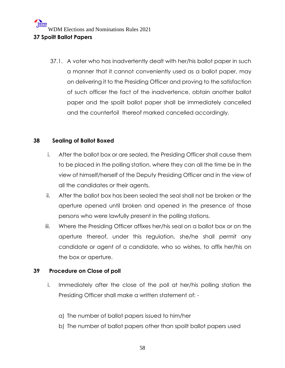37.1. A voter who has inadvertently dealt with her/his ballot paper in such a manner that it cannot conveniently used as a ballot paper, may on delivering it to the Presiding Officer and proving to the satisfaction of such officer the fact of the inadvertence, obtain another ballot paper and the spoilt ballot paper shall be immediately cancelled and the counterfoil thereof marked cancelled accordingly.

#### **38 Sealing of Ballot Boxed**

- i. After the ballot box or are sealed, the Presiding Officer shall cause them to be placed in the polling station, where they can all the time be in the view of himself/herself of the Deputy Presiding Officer and in the view of all the candidates or their agents.
- ii. After the ballot box has been sealed the seal shall not be broken or the aperture opened until broken and opened in the presence of those persons who were lawfully present in the polling stations.
- iii. Where the Presiding Officer affixes her/his seal on a ballot box or on the aperture thereof, under this regulation, she/he shall permit any candidate or agent of a candidate, who so wishes, to affix her/his on the box or aperture.

#### **39 Procedure on Close of poll**

- i. Immediately after the close of the poll at her/his polling station the Presiding Officer shall make a written statement of:
	- a) The number of ballot papers issued to him/her
	- b) The number of ballot papers other than spoilt ballot papers used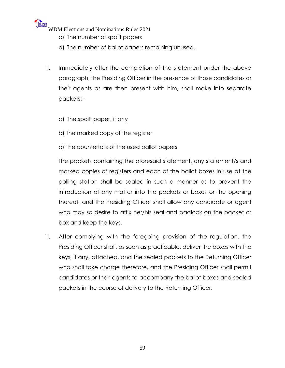- c) The number of spoilt papers
- d) The number of ballot papers remaining unused.
- ii. Immediately after the completion of the statement under the above paragraph, the Presiding Officer in the presence of those candidates or their agents as are then present with him, shall make into separate packets:
	- a) The spoilt paper, if any
	- b) The marked copy of the register
	- c) The counterfoils of the used ballot papers

The packets containing the aforesaid statement, any statement/s and marked copies of registers and each of the ballot boxes in use at the polling station shall be sealed in such a manner as to prevent the introduction of any matter into the packets or boxes or the opening thereof, and the Presiding Officer shall allow any candidate or agent who may so desire to affix her/his seal and padlock on the packet or box and keep the keys.

iii. After complying with the foregoing provision of the regulation, the Presiding Officer shall, as soon as practicable, deliver the boxes with the keys, if any, attached, and the sealed packets to the Returning Officer who shall take charge therefore, and the Presiding Officer shall permit candidates or their agents to accompany the ballot boxes and sealed packets in the course of delivery to the Returning Officer.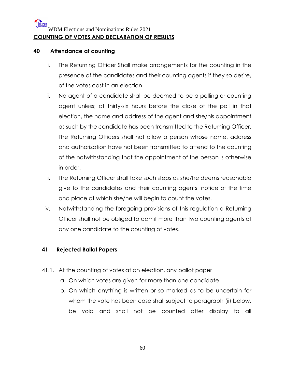#### **WIPER** WDM Elections and Nominations Rules 2021 **COUNTING OF VOTES AND DECLARATION OF RESULTS**

#### **40 Attendance at counting**

- i. The Returning Officer Shall make arrangements for the counting in the presence of the candidates and their counting agents if they so desire, of the votes cast in an election
- ii. No agent of a candidate shall be deemed to be a polling or counting agent unless; at thirty-six hours before the close of the poll in that election, the name and address of the agent and she/his appointment as such by the candidate has been transmitted to the Returning Officer. The Returning Officers shall not allow a person whose name, address and authorization have not been transmitted to attend to the counting of the notwithstanding that the appointment of the person is otherwise in order.
- iii. The Returning Officer shall take such steps as she/he deems reasonable give to the candidates and their counting agents, notice of the time and place at which she/he will begin to count the votes.
- iv. Notwithstanding the foregoing provisions of this regulation a Returning Officer shall not be obliged to admit more than two counting agents of any one candidate to the counting of votes.

#### **41 Rejected Ballot Papers**

- 41.1. At the counting of votes at an election, any ballot paper
	- a. On which votes are given for more than one candidate
	- b. On which anything is written or so marked as to be uncertain for whom the vote has been case shall subject to paragraph (ii) below, be void and shall not be counted after display to all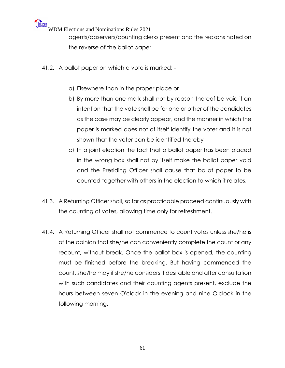agents/observers/counting clerks present and the reasons noted on the reverse of the ballot paper.

- 41.2. A ballot paper on which a vote is marked:
	- a) Elsewhere than in the proper place or
	- b) By more than one mark shall not by reason thereof be void if an intention that the vote shall be for one or other of the candidates as the case may be clearly appear, and the manner in which the paper is marked does not of itself identify the voter and it is not shown that the voter can be identified thereby
	- c) In a joint election the fact that a ballot paper has been placed in the wrong box shall not by itself make the ballot paper void and the Presiding Officer shall cause that ballot paper to be counted together with others in the election to which it relates.
- 41.3. A Returning Officer shall, so far as practicable proceed continuously with the counting of votes, allowing time only for refreshment.
- 41.4. A Returning Officer shall not commence to count votes unless she/he is of the opinion that she/he can conveniently complete the count or any recount, without break. Once the ballot box is opened, the counting must be finished before the breaking. But having commenced the count, she/he may if she/he considers it desirable and after consultation with such candidates and their counting agents present, exclude the hours between seven O'clock in the evening and nine O'clock in the following morning.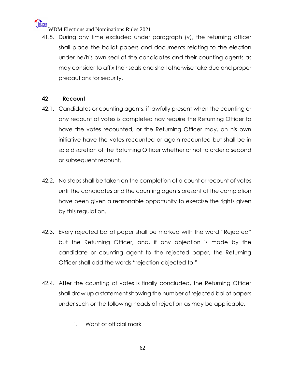

41.5. During any time excluded under paragraph (v), the returning officer shall place the ballot papers and documents relating to the election under he/his own seal of the candidates and their counting agents as may consider to affix their seals and shall otherwise take due and proper precautions for security.

#### **42 Recount**

- 42.1. Candidates or counting agents, if lawfully present when the counting or any recount of votes is completed nay require the Returning Officer to have the votes recounted, or the Returning Officer may, on his own initiative have the votes recounted or again recounted but shall be in sole discretion of the Returning Officer whether or not to order a second or subsequent recount.
- 42.2. No steps shall be taken on the completion of a count or recount of votes until the candidates and the counting agents present at the completion have been given a reasonable opportunity to exercise the rights given by this regulation.
- 42.3. Every rejected ballot paper shall be marked with the word "Rejected" but the Returning Officer, and, if any objection is made by the candidate or counting agent to the rejected paper, the Returning Officer shall add the words "rejection objected to."
- 42.4. After the counting of votes is finally concluded, the Returning Officer shall draw up a statement showing the number of rejected ballot papers under such or the following heads of rejection as may be applicable.
	- i. Want of official mark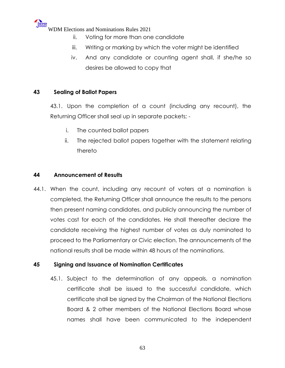

- ii. Voting for more than one candidate
- iii. Writing or marking by which the voter might be identified
- iv. And any candidate or counting agent shall, if she/he so desires be allowed to copy that

#### **43 Sealing of Ballot Papers**

43.1. Upon the completion of a count (including any recount), the Returning Officer shall seal up in separate packets; -

- i. The counted ballot papers
- ii. The rejected ballot papers together with the statement relating thereto

#### **44 Announcement of Results**

44.1. When the count, including any recount of voters at a nomination is completed, the Returning Officer shall announce the results to the persons then present naming candidates, and publicly announcing the number of votes cast for each of the candidates. He shall thereafter declare the candidate receiving the highest number of votes as duly nominated to proceed to the Parliamentary or Civic election. The announcements of the national results shall be made within 48 hours of the nominations.

#### **45 Signing and Issuance of Nomination Certificates**

45.1. Subject to the determination of any appeals, a nomination certificate shall be issued to the successful candidate, which certificate shall be signed by the Chairman of the National Elections Board & 2 other members of the National Elections Board whose names shall have been communicated to the independent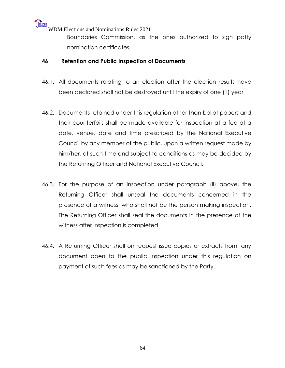Boundaries Commission, as the ones authorized to sign patty nomination certificates,

#### **46 Retention and Public Inspection of Documents**

- 46.1. All documents relating to an election after the election results have been declared shall not be destroyed until the expiry of one (1) year
- 46.2. Documents retained under this regulation other than ballot papers and their counterfoils shall be made available for inspection at a fee at a date, venue, date and time prescribed by the National Executive Council by any member of the public, upon a written request made by him/her, at such time and subject to conditions as may be decided by the Returning Officer and National Executive Council.
- 46.3. For the purpose of an inspection under paragraph (ii) above, the Returning Officer shall unseal the documents concerned in the presence of a witness, who shall not be the person making inspection. The Returning Officer shall seal the documents in the presence of the witness after inspection is completed.
- 46.4. A Returning Officer shall on request issue copies or extracts from, any document open to the public inspection under this regulation on payment of such fees as may be sanctioned by the Party.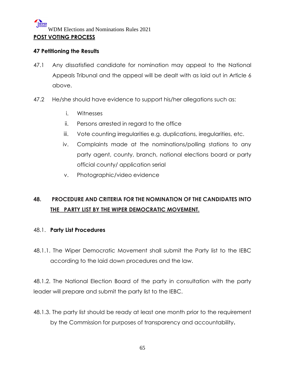#### WIPER WDM Elections and Nominations Rules 2021 **POST VOTING PROCESS**

#### **47 Petitioning the Results**

- 47.1 Any dissatisfied candidate for nomination may appeal to the National Appeals Tribunal and the appeal will be dealt with as laid out in Article 6 above.
- 47.2 He/she should have evidence to support his/her allegations such as:
	- i. Witnesses
	- ii. Persons arrested in regard to the office
	- iii. Vote counting irregularities e.g. duplications, irregularities, etc.
	- iv. Complaints made at the nominations/polling stations to any party agent, county, branch, national elections board or party official county/ application serial
	- v. Photographic/video evidence

### **48. PROCEDURE AND CRITERIA FOR THE NOMINATION OF THE CANDIDATES INTO THE PARTY LIST BY THE WIPER DEMOCRATIC MOVEMENT.**

#### 48.1. **Party List Procedures**

48.1.1. The Wiper Democratic Movement shall submit the Party list to the IEBC according to the laid down procedures and the law.

48.1.2. The National Election Board of the party in consultation with the party leader will prepare and submit the party list to the IEBC.

48.1.3. The party list should be ready at least one month prior to the requirement by the Commission for purposes of transparency and accountability**.**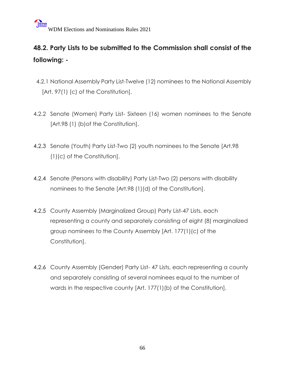## **48.2. Party Lists to be submitted to the Commission shall consist of the following: -**

- 4.2.1 National Assembly Party List-Twelve (12) nominees to the National Assembly [Art. 97(1) (c) of the Constitution].
- 4.2.2 Senate (Women) Party List- Sixteen (16) women nominees to the Senate [Art.98 (1) (b)of the Constitution].
- 4.2.3 Senate (Youth) Party List-Two (2) youth nominees to the Senate [Art.98 (1)(c) of the Constitution].
- 4.2.4 Senate (Persons with disability) Party List-Two (2) persons with disability nominees to the Senate [Art.98 (1)(d) of the Constitution].
- 4.2.5 County Assembly (Marginalized Group) Party List-47 Lists, each representing a county and separately consisting of eight (8) marginalized group nominees to the County Assembly [Art. 177(1)(c) of the Constitution].
- 4.2.6 County Assembly (Gender) Party List- 47 Lists, each representing a county and separately consisting of several nominees equal to the number of wards in the respective county [Art. 177(1)(b) of the Constitution].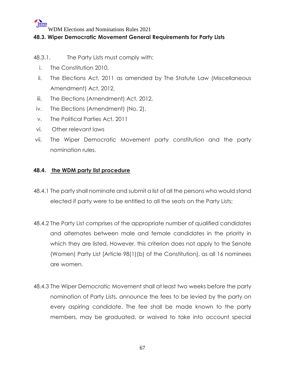#### **48.3. Wiper Democratic Movement General Requirements for Party Lists**

- 48.3.1. The Party Lists must comply with:
	- i. The Constitution 2010,
	- ii. The Elections Act, 2011 as amended by The Statute Law (Miscellaneous Amendment) Act, 2012,
- iii. The Elections (Amendment) Act, 2012,
- iv. The Elections (Amendment) (No. 2),
- v. The Political Parties Act, 2011
- vi. Other relevant laws
- vii. The Wiper Democratic Movement party constitution and the party nomination rules.

#### **48.4. the WDM party list procedure**

- 48.4.1 The party shall nominate and submit a list of all the persons who would stand elected if party were to be entitled to all the seats on the Party Lists;
- 48.4.2 The Party List comprises of the appropriate number of qualified candidates and alternates between male and female candidates in the priority in which they are listed. However, this criterion does not apply to the Senate (Women) Party List [Article 98(1)(b) of the Constitution], as all 16 nominees are women.
- 48.4.3 The Wiper Democratic Movement shall at least two weeks before the party nomination of Party Lists, announce the fees to be levied by the party on every aspiring candidate. The fee shall be made known to the party members, may be graduated, or waived to take into account special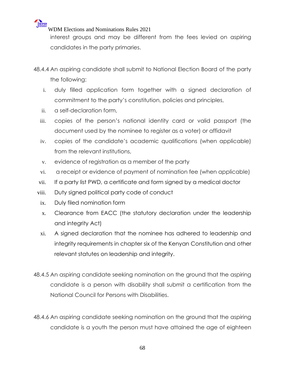interest groups and may be different from the fees levied on aspiring candidates in the party primaries.

48.4.4 An aspiring candidate shall submit to National Election Board of the party the following:

- i. duly filled application form together with a signed declaration of commitment to the party's constitution, policies and principles,
- ii. a self-declaration form,

WIPER

- iii. copies of the person's national identity card or valid passport (the document used by the nominee to register as a voter) or affidavit
- iv. copies of the candidate's academic qualifications (when applicable) from the relevant institutions,
- v. evidence of registration as a member of the party
- vi. a receipt or evidence of payment of nomination fee (when applicable)
- vii. If a party list PWD, a certificate and form signed by a medical doctor
- viii. Duty signed political party code of conduct
- ix. Duly filed nomination form
- x. Clearance from EACC (the statutory declaration under the leadership and integrity Act)
- xi. A signed declaration that the nominee has adhered to leadership and integrity requirements in chapter six of the Kenyan Constitution and other relevant statutes on leadership and integrity.
- 48.4.5 An aspiring candidate seeking nomination on the ground that the aspiring candidate is a person with disability shall submit a certification from the National Council for Persons with Disabilities.
- 48.4.6 An aspiring candidate seeking nomination on the ground that the aspiring candidate is a youth the person must have attained the age of eighteen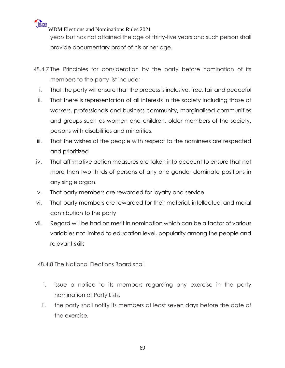**WIPER** 

years but has not attained the age of thirty-five years and such person shall provide documentary proof of his or her age.

- 48.4.7 The Principles for consideration by the party before nomination of its members to the party list include;
	- i. That the party will ensure that the process is inclusive, free, fair and peaceful
	- ii. That there is representation of all interests in the society including those of workers, professionals and business community, marginalised communities and groups such as women and children, older members of the society, persons with disabilities and minorities.
- iii. That the wishes of the people with respect to the nominees are respected and prioritized
- iv. That affirmative action measures are taken into account to ensure that not more than two thirds of persons of any one gender dominate positions in any single organ.
- v. That party members are rewarded for loyalty and service
- vi. That party members are rewarded for their material, intellectual and moral contribution to the party
- vii. Regard will be had on merit in nomination which can be a factor of various variables not limited to education level, popularity among the people and relevant skills
- 48.4.8 The National Elections Board shall
	- i. issue a notice to its members regarding any exercise in the party nomination of Party Lists,
	- ii. the party shall notify its members at least seven days before the date of the exercise,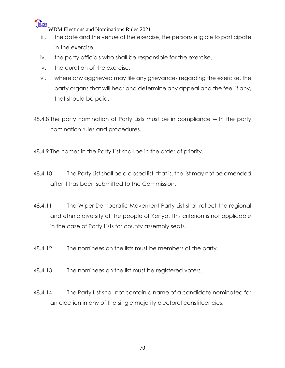

- iii. the date and the venue of the exercise, the persons eligible to participate in the exercise,
- iv. the party officials who shall be responsible for the exercise,
- v. the duration of the exercise,
- vi. where any aggrieved may file any grievances regarding the exercise, the party organs that will hear and determine any appeal and the fee, if any, that should be paid.
- 48.4.8 The party nomination of Party Lists must be in compliance with the party nomination rules and procedures.
- 48.4.9 The names in the Party List shall be in the order of priority.
- 48.4.10 The Party List shall be a closed list, that is, the list may not be amended after it has been submitted to the Commission.
- 48.4.11 The Wiper Democratic Movement Party List shall reflect the regional and ethnic diversity of the people of Kenya. This criterion is not applicable in the case of Party Lists for county assembly seats.
- 48.4.12 The nominees on the lists must be members of the party.
- 48.4.13 The nominees on the list must be registered voters.
- 48.4.14 The Party List shall not contain a name of a candidate nominated for an election in any of the single majority electoral constituencies.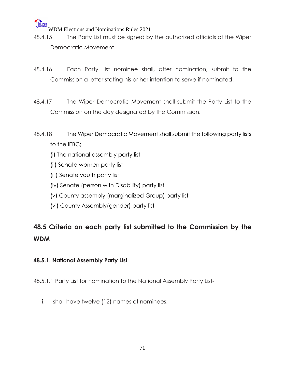# **WIPER**

WDM Elections and Nominations Rules 2021

- 48.4.15 The Party List must be signed by the authorized officials of the Wiper Democratic Movement
- 48.4.16 Each Party List nominee shall, after nomination, submit to the Commission a letter stating his or her intention to serve if nominated.
- 48.4.17 The Wiper Democratic Movement shall submit the Party List to the Commission on the day designated by the Commission.
- 48.4.18 The Wiper Democratic Movement shall submit the following party lists to the IEBC;
	- (i) The national assembly party list
	- (ii) Senate women party list
	- (iii) Senate youth party list
	- (iv) Senate (person with Disability) party list
	- (v) County assembly (marginalized Group) party list
	- (vi) County Assembly(gender) party list

## **48.5 Criteria on each party list submitted to the Commission by the WDM**

#### **48.5.1. National Assembly Party List**

48.5.1.1 Party List for nomination to the National Assembly Party List-

i. shall have twelve (12) names of nominees.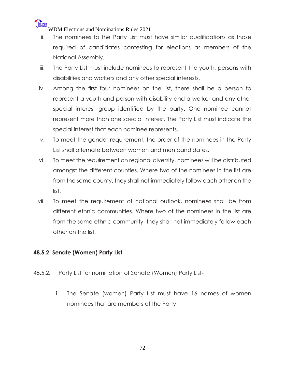- ii. The nominees to the Party List must have similar qualifications as those required of candidates contesting for elections as members of the National Assembly.
- iii. The Party List must include nominees to represent the youth, persons with disabilities and workers and any other special interests.
- iv. Among the first four nominees on the list, there shall be a person to represent a youth and person with disability and a worker and any other special interest group identified by the party. One nominee cannot represent more than one special interest. The Party List must indicate the special interest that each nominee represents.
- v. To meet the gender requirement, the order of the nominees in the Party List shall alternate between women and men candidates.
- vi. To meet the requirement on regional diversity, nominees will be distributed amongst the different counties. Where two of the nominees in the list are from the same county, they shall not immediately follow each other on the list.
- vii. To meet the requirement of national outlook, nominees shall be from different ethnic communities. Where two of the nominees in the list are from the same ethnic community, they shall not immediately follow each other on the list.

#### **48.5.2. Senate (Women) Party List**

- 48.5.2.1 Party List for nomination of Senate (Women) Party List
	- i. The Senate (women) Party List must have 16 names of women nominees that are members of the Party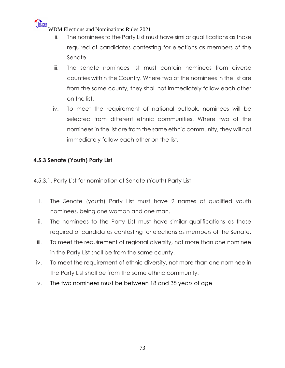- ii. The nominees to the Party List must have similar qualifications as those required of candidates contesting for elections as members of the Senate.
- iii. The senate nominees list must contain nominees from diverse counties within the Country. Where two of the nominees in the list are from the same county, they shall not immediately follow each other on the list.
- iv. To meet the requirement of national outlook, nominees will be selected from different ethnic communities. Where two of the nominees in the list are from the same ethnic community, they will not immediately follow each other on the list.

## **4.5.3 Senate (Youth) Party List**

4.5.3.1. Party List for nomination of Senate (Youth) Party List-

- i. The Senate (youth) Party List must have 2 names of qualified youth nominees, being one woman and one man.
- ii. The nominees to the Party List must have similar qualifications as those required of candidates contesting for elections as members of the Senate.
- iii. To meet the requirement of regional diversity, not more than one nominee in the Party List shall be from the same county.
- iv. To meet the requirement of ethnic diversity, not more than one nominee in the Party List shall be from the same ethnic community.
- v. The two nominees must be between 18 and 35 years of age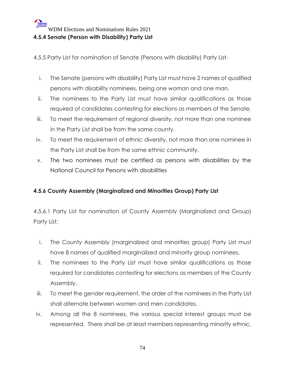4.5.5 Party List for nomination of Senate (Persons with disability) Party List-

- i. The Senate (persons with disability) Party List must have 2 names of qualified persons with disability nominees, being one woman and one man.
- ii. The nominees to the Party List must have similar qualifications as those required of candidates contesting for elections as members of the Senate.
- iii. To meet the requirement of regional diversity, not more than one nominee in the Party List shall be from the same county.
- iv. To meet the requirement of ethnic diversity, not more than one nominee in the Party List shall be from the same ethnic community.
- v. The two nominees must be certified as persons with disabilities by the National Council for Persons with disabilities

## **4.5.6 County Assembly (Marginalized and Minorities Group) Party List**

4.5.6.1 Party List for nomination of County Assembly (Marginalized and Group) Party List:

- i. The County Assembly (marginalized and minorities group) Party List must have 8 names of qualified marginalized and minority group nominees.
- ii. The nominees to the Party List must have similar qualifications as those required for candidates contesting for elections as members of the County Assembly.
- iii. To meet the gender requirement, the order of the nominees in the Party List shall alternate between women and men candidates.
- iv. Among all the 8 nominees, the various special interest groups must be represented. There shall be at least members representing minority ethnic,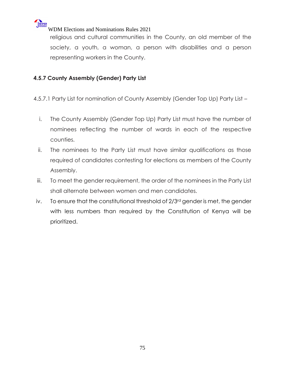

religious and cultural communities in the County, an old member of the society, a youth, a woman, a person with disabilities and a person representing workers in the County.

## **4.5.7 County Assembly (Gender) Party List**

4.5.7.1 Party List for nomination of County Assembly (Gender Top Up) Party List –

- i. The County Assembly (Gender Top Up) Party List must have the number of nominees reflecting the number of wards in each of the respective counties.
- ii. The nominees to the Party List must have similar qualifications as those required of candidates contesting for elections as members of the County Assembly.
- iii. To meet the gender requirement, the order of the nominees in the Party List shall alternate between women and men candidates.
- iv. To ensure that the constitutional threshold of 2/3<sup>rd</sup> gender is met, the gender with less numbers than required by the Constitution of Kenya will be prioritized.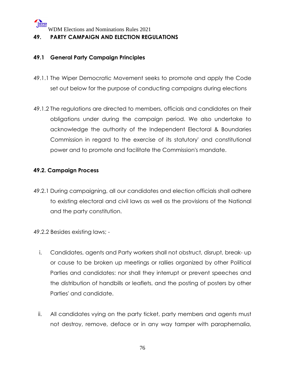## **49. PARTY CAMPAIGN AND ELECTION REGULATIONS**

#### **49.1 General Party Campaign Principles**

- 49.1.1 The Wiper Democratic Movement seeks to promote and apply the Code set out below for the purpose of conducting campaigns during elections
- 49.1.2 The regulations are directed to members, officials and candidates on their obligations under during the campaign period. We also undertake to acknowledge the authority of the Independent Electoral & Boundaries Commission in regard to the exercise of its statutory' and constitutional power and to promote and facilitate the Commission's mandate.

#### **49.2. Campaign Process**

- 49.2.1 During campaigning, all our candidates and election officials shall adhere to existing electoral and civil laws as well as the provisions of the National and the party constitution.
- 49.2.2 Besides existing laws;
	- i. Candidates, agents and Party workers shall not obstruct, disrupt, break- up or cause to be broken up meetings or rallies organized by other Political Parties and candidates: nor shall they interrupt or prevent speeches and the distribution of handbills or leaflets, and the posting of posters by other Parties' and candidate.
	- ii. All candidates vying on the party ticket, party members and agents must not destroy, remove, deface or in any way tamper with paraphernalia,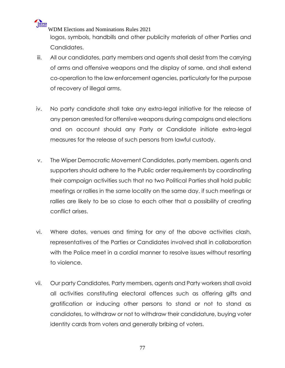WIPER WDM Elections and Nominations Rules 2021 logos, symbols, handbills and other publicity materials of other Parties and Candidates.

- iii. All our candidates, party members and agents shall desist from the carrying of arms and offensive weapons and the display of same, and shall extend co-operation to the law enforcement agencies, particularly for the purpose of recovery of illegal arms.
- iv. No party candidate shall take any extra-legal initiative for the release of any person arrested for offensive weapons during campaigns and elections and on account should any Party or Candidate initiate extra-legal measures for the release of such persons from lawful custody.
- v. The Wiper Democratic Movement Candidates, party members, agents and supporters should adhere to the Public order requirements by coordinating their campaign activities such that no two Political Parties shall hold public meetings or rallies in the same locality on the same day. if such meetings or rallies are likely to be so close to each other that a possibility of creating conflict arises.
- vi. Where dates, venues and timing for any of the above activities clash, representatives of the Parties or Candidates involved shall in collaboration with the Police meet in a cordial manner to resolve issues without resorting to violence.
- vii. Our party Candidates, Party members, agents and Party workers shall avoid all activities constituting electoral offences such as offering gifts and gratification or inducing other persons to stand or not to stand as candidates, to withdraw or not to withdraw their candidature, buying voter identity cards from voters and generally bribing of voters.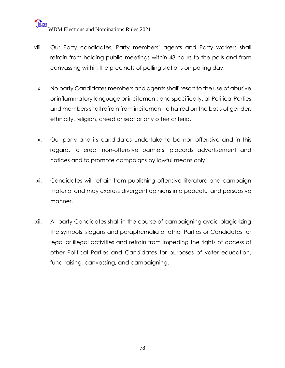- viii. Our Party candidates, Party members' agents and Party workers shall refrain from holding public meetings within 48 hours to the polls and from canvassing within the precincts of polling stations on polling day.
- ix. No party Candidates members and agents shall' resort to the use of abusive or inflammatory language or incitement: and specifically, all Political Parties and members shall refrain from incitement to hatred on the basis of gender, ethnicity, religion, creed or sect or any other criteria.
- x. Our party and its candidates undertake to be non-offensive and in this regard, to erect non-offensive banners, placards advertisement and notices and to promote campaigns by lawful means only.
- xi. Candidates will refrain from publishing offensive literature and campaign material and may express divergent opinions in a peaceful and persuasive manner.
- xii. All party Candidates shall in the course of campaigning avoid plagiarizing the symbols, slogans and paraphernalia of other Parties or Candidates for legal or illegal activities and refrain from impeding the rights of access of other Political Parties and Candidates for purposes of voter education, fund-raising, canvassing, and campaigning.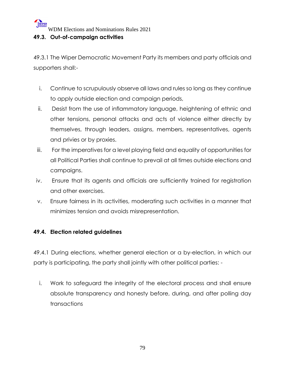#### **49.3. Out-of-campaign activities**

49.3.1 The Wiper Democratic Movement Party its members and party officials and supporters shall:-

- i. Continue to scrupulously observe all laws and rules so long as they continue to apply outside election and campaign periods,
- ii. Desist from the use of inflammatory language, heightening of ethnic and other tensions, personal attacks and acts of violence either directly by themselves, through leaders, assigns, members, representatives, agents and privies or by proxies.
- iii. For the imperatives for a level playing field and equality of opportunities for all Political Parties shall continue to prevail at all times outside elections and campaigns.
- iv. Ensure that its agents and officials are sufficiently trained for registration and other exercises.
- v. Ensure fairness in its activities, moderating such activities in a manner that minimizes tension and avoids misrepresentation.

## **49.4. Election related guidelines**

49.4.1 During elections, whether general election or a by-election, in which our party is participating, the party shall jointly with other political parties: -

i. Work to safeguard the integrity of the electoral process and shall ensure absolute transparency and honesty before, during, and after polling day transactions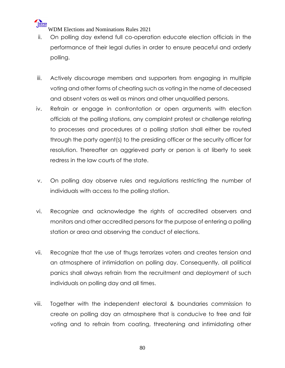

- ii. On polling day extend full co-operation educate election officials in the performance of their legal duties in order to ensure peaceful and orderly polling.
- iii. Actively discourage members and supporters from engaging in multiple voting and other forms of cheating such as voting in the name of deceased and absent voters as well as minors and other unqualified persons.
- iv. Refrain or engage in confrontation or open arguments with election officials at the polling stations, any complaint protest or challenge relating to processes and procedures at a polling station shall either be routed through the party agent(s) to the presiding officer or the security officer for resolution. Thereafter an aggrieved party or person is at liberty to seek redress in the law courts of the state.
- v. On polling day observe rules and regulations restricting the number of individuals with access to the polling station.
- vi. Recognize and acknowledge the rights of accredited observers and monitors and other accredited persons for the purpose of entering a polling station or area and observing the conduct of elections.
- vii. Recognize that the use of thugs terrorizes voters and creates tension and an atmosphere of intimidation on polling day. Consequently, all political panics shall always refrain from the recruitment and deployment of such individuals on polling day and all times.
- viii. Together with the independent electoral & boundaries commission to create on polling day an atmosphere that is conducive to free and fair voting and to refrain from coating, threatening and intimidating other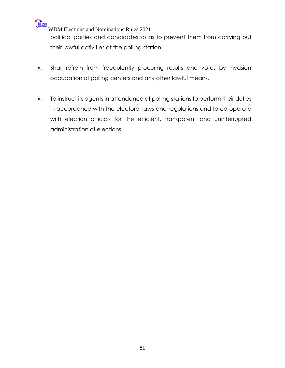

political parties and candidates so as to prevent them from carrying out their lawful activities at the polling station.

- ix. Shall refrain from fraudulently procuring results and votes by invasion occupation of polling centers and any other lawful means.
- x. To instruct its agents in attendance at polling stations to perform their duties in accordance with the electoral laws and regulations and to co-operate with election officials for the efficient, transparent and uninterrupted administration of elections.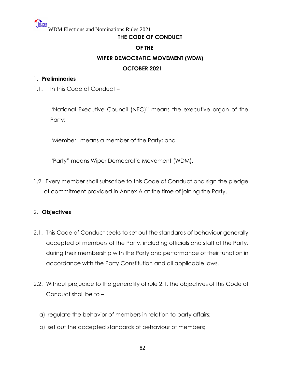## **THE CODE OF CONDUCT**

#### **OF THE**

## **WIPER DEMOCRATIC MOVEMENT (WDM)**

## **OCTOBER 2021**

#### 1. **Preliminaries**

1.1. In this Code of Conduct –

"National Executive Council (NEC)" means the executive organ of the Party;

"Member" means a member of the Party; and

"Party" means Wiper Democratic Movement (WDM).

1.2. Every member shall subscribe to this Code of Conduct and sign the pledge of commitment provided in Annex A at the time of joining the Party.

## 2. **Objectives**

- 2.1. This Code of Conduct seeks to set out the standards of behaviour generally accepted of members of the Party, including officials and staff of the Party, during their membership with the Party and performance of their function in accordance with the Party Constitution and all applicable laws.
- 2.2. Without prejudice to the generality of rule 2.1, the objectives of this Code of Conduct shall be to –
	- a) regulate the behavior of members in relation to party affairs;
	- b) set out the accepted standards of behaviour of members;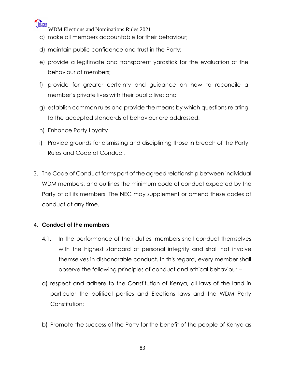

- c) make all members accountable for their behaviour;
- d) maintain public confidence and trust in the Party;
- e) provide a legitimate and transparent yardstick for the evaluation of the behaviour of members;
- f) provide for greater certainty and guidance on how to reconcile a member's private lives with their public live; and
- g) establish common rules and provide the means by which questions relating to the accepted standards of behaviour are addressed.
- h) Enhance Party Loyalty
- i) Provide grounds for dismissing and disciplining those in breach of the Party Rules and Code of Conduct.
- 3. The Code of Conduct forms part of the agreed relationship between individual WDM members, and outlines the minimum code of conduct expected by the Party of all its members. The NEC may supplement or amend these codes of conduct at any time.

#### 4. **Conduct of the members**

- 4.1. In the performance of their duties, members shall conduct themselves with the highest standard of personal integrity and shall not involve themselves in dishonorable conduct. In this regard, every member shall observe the following principles of conduct and ethical behaviour –
- a) respect and adhere to the Constitution of Kenya, all laws of the land in particular the political parties and Elections laws and the WDM Party Constitution:
- b) Promote the success of the Party for the benefit of the people of Kenya as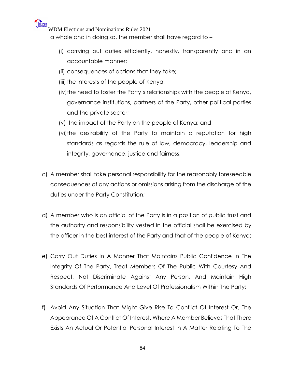

a whole and in doing so, the member shall have regard to –

- (i) carrying out duties efficiently, honestly, transparently and in an accountable manner;
- (ii) consequences of actions that they take;
- (iii) the interests of the people of Kenya;
- (iv)the need to foster the Party's relationships with the people of Kenya, governance institutions, partners of the Party, other political parties and the private sector;
- (v) the impact of the Party on the people of Kenya; and
- (vi)the desirability of the Party to maintain a reputation for high standards as regards the rule of law, democracy, leadership and integrity, governance, justice and fairness.
- c) A member shall take personal responsibility for the reasonably foreseeable consequences of any actions or omissions arising from the discharge of the duties under the Party Constitution;
- d) A member who is an official of the Party is in a position of public trust and the authority and responsibility vested in the official shall be exercised by the officer in the best interest of the Party and that of the people of Kenya;
- e) Carry Out Duties In A Manner That Maintains Public Confidence In The Integrity Of The Party, Treat Members Of The Public With Courtesy And Respect, Not Discriminate Against Any Person, And Maintain High Standards Of Performance And Level Of Professionalism Within The Party;
- f) Avoid Any Situation That Might Give Rise To Conflict Of Interest Or, The Appearance Of A Conflict Of Interest. Where A Member Believes That There Exists An Actual Or Potential Personal Interest In A Matter Relating To The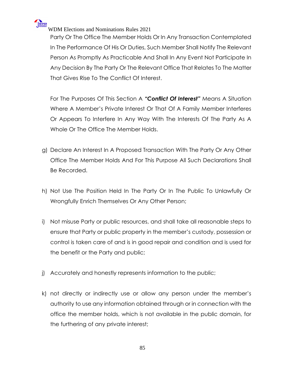

Party Or The Office The Member Holds Or In Any Transaction Contemplated In The Performance Of His Or Duties, Such Member Shall Notify The Relevant Person As Promptly As Practicable And Shall In Any Event Not Participate In Any Decision By The Party Or The Relevant Office That Relates To The Matter That Gives Rise To The Conflict Of Interest.

For The Purposes Of This Section A *"Conflict Of Interest"* Means A Situation Where A Member's Private Interest Or That Of A Family Member Interferes Or Appears To Interfere In Any Way With The Interests Of The Party As A Whole Or The Office The Member Holds.

- g) Declare An Interest In A Proposed Transaction With The Party Or Any Other Office The Member Holds And For This Purpose All Such Declarations Shall Be Recorded.
- h) Not Use The Position Held In The Party Or In The Public To Unlawfully Or Wrongfully Enrich Themselves Or Any Other Person;
- i) Not misuse Party or public resources, and shall take all reasonable steps to ensure that Party or public property in the member's custody, possession or control is taken care of and is in good repair and condition and is used for the benefit or the Party and public;
- j) Accurately and honestly represents information to the public;
- k) not directly or indirectly use or allow any person under the member's authority to use any information obtained through or in connection with the office the member holds, which is not available in the public domain, for the furthering of any private interest;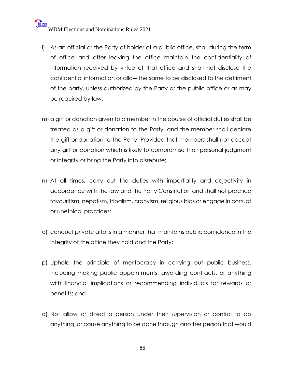## WELET WOM Elections and Nominations Rules 2021

- l) As an official or the Party of holder of a public office, shall during the term of office and after leaving the office maintain the confidentiality of information received by virtue of that office and shall not disclose the confidential information or allow the same to be disclosed to the detriment of the party, unless authorized by the Party or the public office or as may be required by law.
- m) a gift or donation given to a member in the course of official duties shall be treated as a gift or donation to the Party, and the member shall declare the gift or donation to the Party. Provided that members shall not accept any gift or donation which is likely to compromise their personal judgment or integrity or bring the Party into disrepute;
- n) At all times, carry out the duties with impartiality and objectivity in accordance with the law and the Party Constitution and shall not practice favouritism, nepotism, tribalism, cronyism, religious bias or engage in corrupt or unethical practices;
- o) conduct private affairs in a manner that maintains public confidence in the integrity of the office they hold and the Party;
- p) Uphold the principle of meritocracy in carrying out public business, including making public appointments, awarding contracts, or anything with financial implications or recommending individuals for rewards or benefits; and
- q) Not allow or direct a person under their supervision or control to do anything, or cause anything to be done through another person that would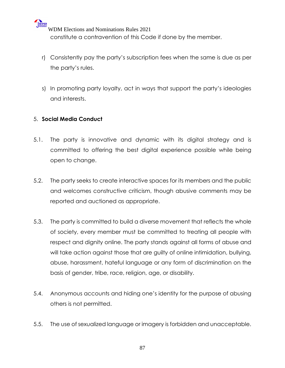WIPER WDM Elections and Nominations Rules 2021 constitute a contravention of this Code if done by the member.

- r) Consistently pay the party's subscription fees when the same is due as per the party's rules.
- s) In promoting party loyalty, act in ways that support the party's ideologies and interests.

## 5. **Social Media Conduct**

- 5.1. The party is innovative and dynamic with its digital strategy and is committed to offering the best digital experience possible while being open to change.
- 5.2. The party seeks to create interactive spaces for its members and the public and welcomes constructive criticism, though abusive comments may be reported and auctioned as appropriate.
- 5.3. The party is committed to build a diverse movement that reflects the whole of society, every member must be committed to treating all people with respect and dignity online. The party stands against all forms of abuse and will take action against those that are guilty of online intimidation, bullying, abuse, harassment, hateful language or any form of discrimination on the basis of gender, tribe, race, religion, age, or disability.
- 5.4. Anonymous accounts and hiding one's identity for the purpose of abusing others is not permitted.
- 5.5. The use of sexualized language or imagery is forbidden and unacceptable.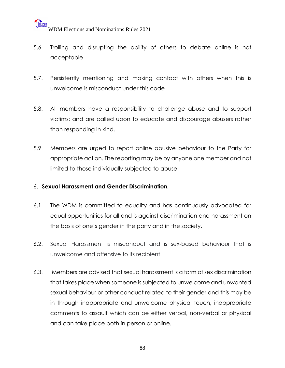- 5.6. Trolling and disrupting the ability of others to debate online is not acceptable
- 5.7. Persistently mentioning and making contact with others when this is unwelcome is misconduct under this code
- 5.8. All members have a responsibility to challenge abuse and to support victims; and are called upon to educate and discourage abusers rather than responding in kind.
- 5.9. Members are urged to report online abusive behaviour to the Party for appropriate action. The reporting may be by anyone one member and not limited to those individually subjected to abuse.

#### 6. **Sexual Harassment and Gender Discrimination.**

- 6.1. The WDM is committed to equality and has continuously advocated for equal opportunities for all and is against discrimination and harassment on the basis of one's gender in the party and in the society.
- 6.2. Sexual Harassment is misconduct and is sex-based behaviour that is unwelcome and offensive to its recipient.
- 6.3. Members are advised that sexual harassment is a form of sex discrimination that takes place when someone is subjected to unwelcome and unwanted sexual behaviour or other conduct related to their gender and this may be in through inappropriate and unwelcome physical touch**,** inappropriate comments to assault which can be either verbal, non-verbal or physical and can take place both in person or online.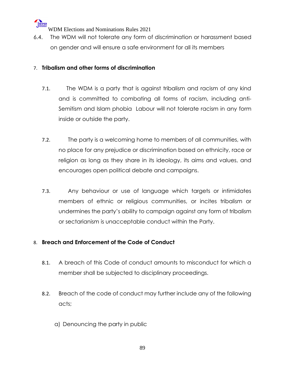

6.4. The WDM will not tolerate any form of discrimination or harassment based on gender and will ensure a safe environment for all its members

## 7. **Tribalism and other forms of discrimination**

- 7.1. The WDM is a party that is against tribalism and racism of any kind and is committed to combating all forms of racism, including anti-Semitism and Islam phobia Labour will not tolerate racism in any form inside or outside the party.
- 7.2. The party is a welcoming home to members of all communities, with no place for any prejudice or discrimination based on ethnicity, race or religion as long as they share in its ideology, its aims and values, and encourages open political debate and campaigns.
- 7.3. Any behaviour or use of language which targets or intimidates members of ethnic or religious communities, or incites tribalism or undermines the party's ability to campaign against any form of tribalism or sectarianism is unacceptable conduct within the Party.

## 8. **Breach and Enforcement of the Code of Conduct**

- 8.1. A breach of this Code of conduct amounts to misconduct for which a member shall be subjected to disciplinary proceedings.
- 8.2. Breach of the code of conduct may further include any of the following acts;
	- a) Denouncing the party in public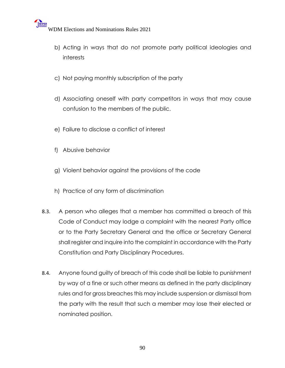- b) Acting in ways that do not promote party political ideologies and interests
- c) Not paying monthly subscription of the party
- d) Associating oneself with party competitors in ways that may cause confusion to the members of the public.
- e) Failure to disclose a conflict of interest
- f) Abusive behavior
- g) Violent behavior against the provisions of the code
- h) Practice of any form of discrimination
- 8.3. A person who alleges that a member has committed a breach of this Code of Conduct may lodge a complaint with the nearest Party office or to the Party Secretary General and the office or Secretary General shall register and inquire into the complaint in accordance with the Party Constitution and Party Disciplinary Procedures.
- 8.4. Anyone found guilty of breach of this code shall be liable to punishment by way of a fine or such other means as defined in the party disciplinary rules and for gross breaches this may include suspension or dismissal from the party with the result that such a member may lose their elected or nominated position.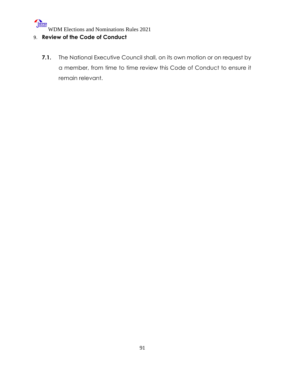## 9. **Review of the Code of Conduct**

**7.1.** The National Executive Council shall, on its own motion or on request by a member, from time to time review this Code of Conduct to ensure it remain relevant.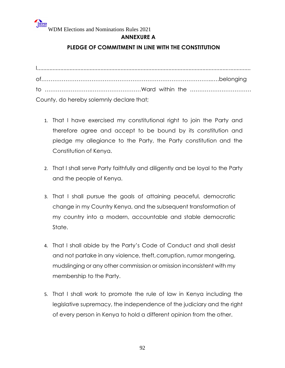## **ANNEXURE A**

## **PLEDGE OF COMMITMENT IN LINE WITH THE CONSTITUTION**

| County, do hereby solemnly declare that; |  |  |
|------------------------------------------|--|--|

- 1. That I have exercised my constitutional right to join the Party and therefore agree and accept to be bound by its constitution and pledge my allegiance to the Party, the Party constitution and the Constitution of Kenya.
- 2. That I shall serve Party faithfully and diligently and be loyal to the Party and the people of Kenya.
- 3. That I shall pursue the goals of attaining peaceful, democratic change in my Country Kenya, and the subsequent transformation of my country into a modern, accountable and stable democratic State.
- 4. That I shall abide by the Party's Code of Conduct and shall desist and not partake in any violence, theft, corruption, rumor mongering, mudslinging or any other commission or omission inconsistent with my membership to the Party.
- 5. That I shall work to promote the rule of law in Kenya including the legislative supremacy, the independence of the judiciary and the right of every person in Kenya to hold a different opinion from the other.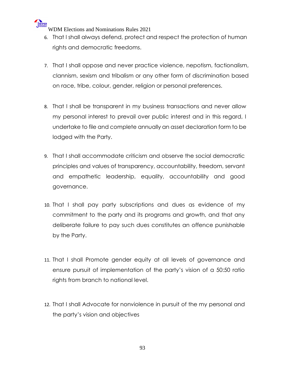

- 6. That I shall always defend, protect and respect the protection of human rights and democratic freedoms.
- 7. That I shall oppose and never practice violence, nepotism, factionalism, clannism, sexism and tribalism or any other form of discrimination based on race, tribe, colour, gender, religion or personal preferences.
- 8. That I shall be transparent in my business transactions and never allow my personal interest to prevail over public interest and in this regard, I undertake to file and complete annually an asset declaration form to be lodged with the Party.
- 9. That I shall accommodate criticism and observe the social democratic principles and values of transparency, accountability, freedom, servant and empathetic leadership, equality, accountability and good governance.
- 10. That I shall pay party subscriptions and dues as evidence of my commitment to the party and its programs and growth, and that any deliberate failure to pay such dues constitutes an offence punishable by the Party.
- 11. That I shall Promote gender equity at all levels of governance and ensure pursuit of implementation of the party's vision of a 50:50 ratio rights from branch to national level.
- 12. That I shall Advocate for nonviolence in pursuit of the my personal and the party's vision and objectives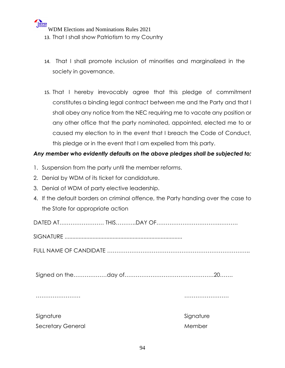- 13. That I shall show Patriotism to my Country
- 14. That I shall promote inclusion of minorities and marginalized in the society in governance.
- 15. That I hereby irrevocably agree that this pledge of commitment constitutes a binding legal contract between me and the Party and that I shall obey any notice from the NEC requiring me to vacate any position or any other office that the party nominated, appointed, elected me to or caused my election to in the event that I breach the Code of Conduct, this pledge or in the event that I am expelled from this party.

## *Any member who evidently defaults on the above pledges shall be subjected to;*

- 1. Suspension from the party until the member reforms.
- 2. Denial by WDM of its ticket for candidature.
- 3. Denial of WDM of party elective leadership.
- 4. If the default borders on criminal offence, the Party handing over the case to the State for appropriate action

DATED AT…………………… THIS………..DAY OF…………………………….………. SIGNATURE ............................................................................ FULL NAME OF CANDIDATE ………………………………………………………………….. Signed on the………………day of…………………………………………20……. …………………… …………………… Signature Signature Signature Signature Signature Secretary General News, 2008, 2008, 2008, 2008, 2008, 2008, 2008, 2008, 2008, 2008, 2008, 2008, 2008, 2008, 20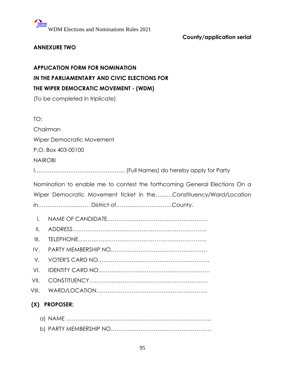## **County/application serial**

## **ANNEXURE TWO**

## **APPLICATION FORM FOR NOMINATION IN THE PARLIAMENTARY AND CIVIC ELECTIONS FOR THE WIPER DEMOCRATIC MOVEMENT - (WDM)**

(To be completed in triplicate)

TO:

Chairman

Wiper Democratic Movement

P.O. Box 403-00100

NAIROBI

I……………………………………….... (Full Names) do hereby apply for Party

Nomination to enable me to contest the forthcoming General Elections On a Wiper Democratic Movement ticket in the………Constituency/Ward/Location in………………………. District of…………………………County.

- I. NAME OF CANDIDATE………………………………………………
- II. ADDRESS………………………………………………………………
- III. TELEPHONE……………………………………………………………
- IV. PARTY MEMBERSHIP NO…………………………………….………
- V. VOTER'S CARD NO……………………………………………………
- VI. IDENTITY CARD NO……………………………………………………
- VII. CONSTITUENCY…………………………………….…………………
- VIII. WARD/LOCATION……………………………………….…………..

## **(X) PROPOSER:**

- a) NAME ……………………………………………………………………
- b) PARTY MEMBERSHIP NO………………………………………………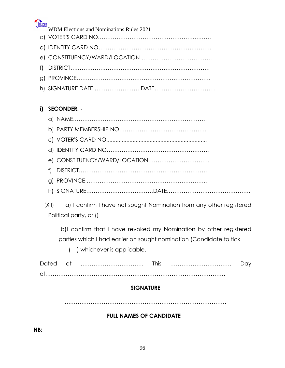

| WIPER                                                                        |
|------------------------------------------------------------------------------|
| <b>WDM Elections and Nominations Rules 2021</b>                              |
|                                                                              |
|                                                                              |
|                                                                              |
|                                                                              |
|                                                                              |
| h) SIGNATURE DATE  DATE                                                      |
|                                                                              |
| <b>SECONDER: -</b>                                                           |
|                                                                              |
|                                                                              |
|                                                                              |
|                                                                              |
|                                                                              |
| f                                                                            |
|                                                                              |
|                                                                              |
|                                                                              |
| a) I confirm I have not sought Nomination from any other registered<br>(X  ) |
| Political party, or ()                                                       |
| b)I confirm that I have revoked my Nomination by other registered            |
| parties which I had earlier on sought nomination (Candidate to tick          |
| ) whichever is applicable.                                                   |
|                                                                              |

Dated at ……………………………. This …………………………… Day of………………………….…………………………………………………………

## **SIGNATURE**

……………………………………………………………………………

## **FULL NAMES OF CANDIDATE**

**NB:**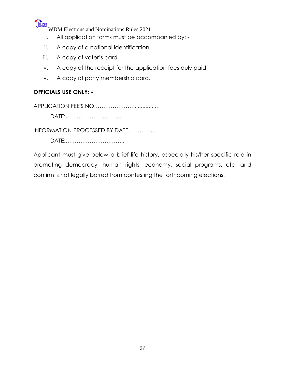

- i. All application forms must be accompanied by: -
- ii. A copy of a national identification
- iii. A copy of voter's card
- iv. A copy of the receipt for the application fees duly paid
- v. A copy of party membership card.

## **OFFICIALS USE ONLY: -**

APPLICATION FEE'S NO…………………................

DATE:…………………………

INFORMATION PROCESSED BY DATE……………

DATE:…………………………..

Applicant must give below a brief life history, especially his/her specific role in promoting democracy, human rights, economy, social programs, etc. and confirm is not legally barred from contesting the forthcoming elections.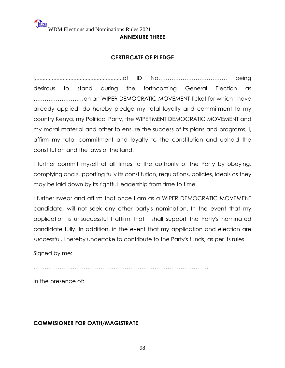#### **ANNEXURE THREE**

## **CERTIFICATE OF PLEDGE**

I,........................................................of lD No………………………………. being desirous to stand during the forthcoming General Election as ………………………on an WIPER DEMOCRATIC MOVEMENT ticket for which I have already applied, do hereby pledge my total loyalty and commitment to my country Kenya, my Political Party, the WIPERMENT DEMOCRATIC MOVEMENT and my moral material and other to ensure the success of its plans and programs, l, affirm my total commitment and loyalty to the constitution and uphold the constitution and the laws of the land.

I further commit myself at all times to the authority of the Party by obeying, complying and supporting fully its constitution, regulations, policies, ideals as they may be laid down by its rightful leadership from time to time.

I further swear and affirm that once I am as a WIPER DEMOCRATIC MOVEMENT candidate, will not seek any other party's nomination. In the event that my application is unsuccessful I affirm that I shall support the Party's nominated candidate fully. In addition, in the event that my application and election are successful, I hereby undertake to contribute to the Party's funds, as per its rules.

Signed by me:

…………………………………………………………………………………..

In the presence of:

## **COMMISIONER FOR OATH/MAGISTRATE**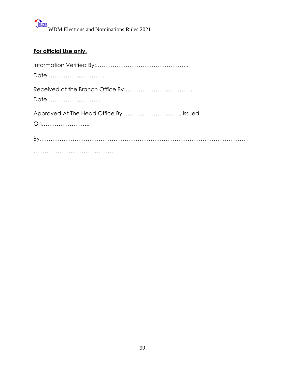## **For official Use only.**

| Date                                         |
|----------------------------------------------|
| Date                                         |
| Approved At The Head Office By  Issued<br>On |
|                                              |